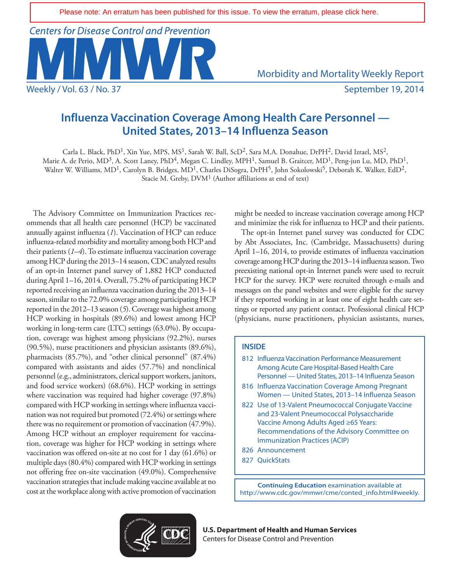**Centers for Disease Control and Prevention** 

Weekly / Vol. 63 / No. 37 September 19, 2014

Morbidity and Mortality Weekly Report

# **Influenza Vaccination Coverage Among Health Care Personnel — United States, 2013–14 Influenza Season**

Carla L. Black, PhD<sup>1</sup>, Xin Yue, MPS, MS<sup>1</sup>, Sarah W. Ball, ScD<sup>2</sup>, Sara M.A. Donahue, DrPH<sup>2</sup>, David Izrael, MS<sup>2</sup>, Marie A. de Perio, MD<sup>3</sup>, A. Scott Laney, PhD<sup>4</sup>, Megan C. Lindley, MPH<sup>1</sup>, Samuel B. Graitcer, MD<sup>1</sup>, Peng-jun Lu, MD, PhD<sup>1</sup>, Walter W. Williams, MD<sup>1</sup>, Carolyn B. Bridges, MD<sup>1</sup>, Charles DiSogra, DrPH<sup>5</sup>, John Sokolowski<sup>5</sup>, Deborah K. Walker, EdD<sup>2</sup>, Stacie M. Greby, DVM<sup>1</sup> (Author affiliations at end of text)

The Advisory Committee on Immunization Practices recommends that all health care personnel (HCP) be vaccinated annually against influenza (*1*). Vaccination of HCP can reduce influenza-related morbidity and mortality among both HCP and their patients (*1–4*). To estimate influenza vaccination coverage among HCP during the 2013–14 season, CDC analyzed results of an opt-in Internet panel survey of 1,882 HCP conducted during April 1–16, 2014. Overall, 75.2% of participating HCP reported receiving an influenza vaccination during the 2013–14 season, similar to the 72.0% coverage among participating HCP reported in the 2012–13 season (*5*). Coverage was highest among HCP working in hospitals (89.6%) and lowest among HCP working in long-term care (LTC) settings (63.0%). By occupation, coverage was highest among physicians (92.2%), nurses (90.5%), nurse practitioners and physician assistants (89.6%), pharmacists (85.7%), and "other clinical personnel" (87.4%) compared with assistants and aides (57.7%) and nonclinical personnel (e.g., administrators, clerical support workers, janitors, and food service workers) (68.6%). HCP working in settings where vaccination was required had higher coverage (97.8%) compared with HCP working in settings where influenza vaccination was not required but promoted (72.4%) or settings where there was no requirement or promotion of vaccination (47.9%). Among HCP without an employer requirement for vaccination, coverage was higher for HCP working in settings where vaccination was offered on-site at no cost for 1 day (61.6%) or multiple days (80.4%) compared with HCP working in settings not offering free on-site vaccination (49.0%). Comprehensive vaccination strategies that include making vaccine available at no cost at the workplace along with active promotion of vaccination might be needed to increase vaccination coverage among HCP and minimize the risk for influenza to HCP and their patients.

The opt-in Internet panel survey was conducted for CDC by Abt Associates, Inc. (Cambridge, Massachusetts) during April 1–16, 2014, to provide estimates of influenza vaccination coverage among HCP during the 2013–14 influenza season. Two preexisting national opt-in Internet panels were used to recruit HCP for the survey. HCP were recruited through e-mails and messages on the panel websites and were eligible for the survey if they reported working in at least one of eight health care settings or reported any patient contact. Professional clinical HCP (physicians, nurse practitioners, physician assistants, nurses,

### **INSIDE**

| 812 Influenza Vaccination Performance Measurement                                                                                                                                                                                |
|----------------------------------------------------------------------------------------------------------------------------------------------------------------------------------------------------------------------------------|
| Among Acute Care Hospital-Based Health Care                                                                                                                                                                                      |
| Personnel — United States, 2013-14 Influenza Season                                                                                                                                                                              |
| 816 Influenza Vaccination Coverage Among Pregnant<br>Women - United States, 2013-14 Influenza Season                                                                                                                             |
| 822 Use of 13-Valent Pneumococcal Conjugate Vaccine<br>and 23-Valent Pneumococcal Polysaccharide<br>Vaccine Among Adults Aged ≥65 Years:<br>Recommendations of the Advisory Committee on<br><b>Immunization Practices (ACIP)</b> |
| 826 Announcement                                                                                                                                                                                                                 |
| 827 OuickStats                                                                                                                                                                                                                   |
|                                                                                                                                                                                                                                  |

**Continuing Education** examination available at [http://www.cdc.gov/mmwr/cme/conted\\_info.html#weekly.](http://www.cdc.gov/mmwr/cme/conted_info.html#weekly)



**U.S. Department of Health and Human Services** Centers for Disease Control and Prevention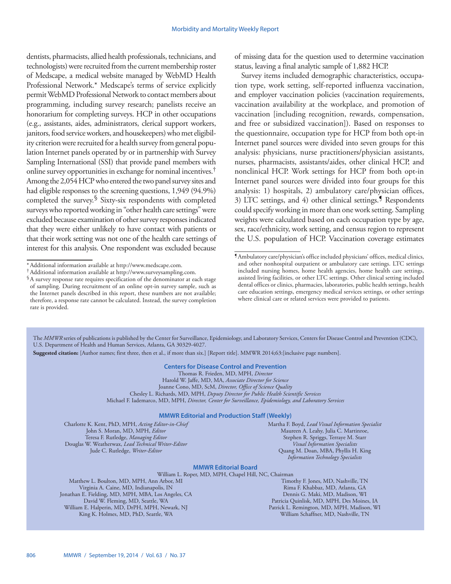dentists, pharmacists, allied health professionals, technicians, and technologists) were recruited from the current membership roster of Medscape, a medical website managed by WebMD Health Professional Network.\* Medscape's terms of service explicitly permit WebMD Professional Network to contact members about programming, including survey research; panelists receive an honorarium for completing surveys. HCP in other occupations (e.g., assistants, aides, administrators, clerical support workers, janitors, food service workers, and housekeepers) who met eligibility criterion were recruited for a health survey from general population Internet panels operated by or in partnership with Survey Sampling International (SSI) that provide panel members with online survey opportunities in exchange for nominal incentives.† Among the 2,054 HCP who entered the two panel survey sites and had eligible responses to the screening questions, 1,949 (94.9%) completed the survey.<sup>§</sup> Sixty-six respondents with completed surveys who reported working in "other health care settings" were excluded because examination of other survey responses indicated that they were either unlikely to have contact with patients or that their work setting was not one of the health care settings of interest for this analysis. One respondent was excluded because

of missing data for the question used to determine vaccination status, leaving a final analytic sample of 1,882 HCP.

Survey items included demographic characteristics, occupation type, work setting, self-reported influenza vaccination, and employer vaccination policies (vaccination requirements, vaccination availability at the workplace, and promotion of vaccination [including recognition, rewards, compensation, and free or subsidized vaccination]). Based on responses to the questionnaire, occupation type for HCP from both opt-in Internet panel sources were divided into seven groups for this analysis: physicians, nurse practitioners/physician assistants, nurses, pharmacists, assistants/aides, other clinical HCP, and nonclinical HCP. Work settings for HCP from both opt-in Internet panel sources were divided into four groups for this analysis: 1) hospitals, 2) ambulatory care/physician offices, 3) LTC settings, and 4) other clinical settings.<sup>9</sup> Respondents could specify working in more than one work setting. Sampling weights were calculated based on each occupation type by age, sex, race/ethnicity, work setting, and census region to represent the U.S. population of HCP. Vaccination coverage estimates

The *MMWR* series of publications is published by the Center for Surveillance, Epidemiology, and Laboratory Services, Centers for Disease Control and Prevention (CDC), U.S. Department of Health and Human Services, Atlanta, GA 30329-4027.

**Suggested citation:** [Author names; first three, then et al., if more than six.] [Report title]. MMWR 2014;63:[inclusive page numbers].

#### **Centers for Disease Control and Prevention**

Thomas R. Frieden, MD, MPH, *Director* Harold W. Jaffe, MD, MA, *Associate Director for Science* Joanne Cono, MD, ScM, *Director, Office of Science Quality*  Chesley L. Richards, MD, MPH, *Deputy Director for Public Health Scientific Services* Michael F. Iademarco, MD, MPH, *Director, Center for Surveillance, Epidemiology, and Laboratory Services*

#### **MMWR Editorial and Production Staff (Weekly)**

Charlotte K. Kent, PhD, MPH, *Acting Editor-in-Chief* John S. Moran, MD, MPH, *Editor* Teresa F. Rutledge, *Managing Editor* Douglas W. Weatherwax, *Lead Technical Writer-Editor* Jude C. Rutledge, *Writer-Editor*

Martha F. Boyd, *Lead Visual Information Specialist* Maureen A. Leahy, Julia C. Martinroe, Stephen R. Spriggs, Terraye M. Starr *Visual Information Specialists* Quang M. Doan, MBA, Phyllis H. King *Information Technology Specialists*

#### **MMWR Editorial Board**

William L. Roper, MD, MPH, Chapel Hill, NC, Chairman Matthew L. Boulton, MD, MPH, Ann Arbor, MI Virginia A. Caine, MD, Indianapolis, IN Jonathan E. Fielding, MD, MPH, MBA, Los Angeles, CA David W. Fleming, MD, Seattle, WA William E. Halperin, MD, DrPH, MPH, Newark, NJ King K. Holmes, MD, PhD, Seattle, WA

Timothy F. Jones, MD, Nashville, TN Rima F. Khabbaz, MD, Atlanta, GA Dennis G. Maki, MD, Madison, WI Patricia Quinlisk, MD, MPH, Des Moines, IA Patrick L. Remington, MD, MPH, Madison, WI William Schaffner, MD, Nashville, TN

<sup>\*</sup> Additional information available at [http://www.medscape.com.](http://www.medscape.com)<br>†Additional information available at <http://www.surveysampling.com>.<br>§A survey response rate requires specification of the denominator at each stage of sampling. During recruitment of an online opt-in survey sample, such as the Internet panels described in this report, these numbers are not available; therefore, a response rate cannot be calculated. Instead, the survey completion rate is provided.

<sup>¶</sup>Ambulatory care/physician's office included physicians' offices, medical clinics, and other nonhospital outpatient or ambulatory care settings. LTC settings included nursing homes, home health agencies, home health care settings, assisted living facilities, or other LTC settings. Other clinical setting included dental offices or clinics, pharmacies, laboratories, public health settings, health care education settings, emergency medical services settings, or other settings where clinical care or related services were provided to patients.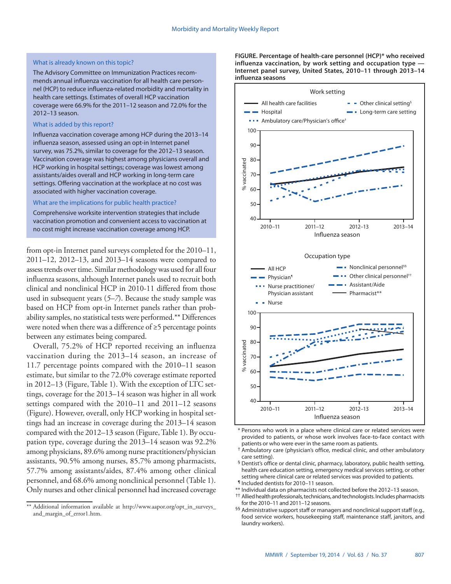#### What is already known on this topic?

The Advisory Committee on Immunization Practices recommends annual influenza vaccination for all health care personnel (HCP) to reduce influenza-related morbidity and mortality in health care settings. Estimates of overall HCP vaccination coverage were 66.9% for the 2011–12 season and 72.0% for the 2012–13 season.

#### What is added by this report?

Influenza vaccination coverage among HCP during the 2013–14 influenza season, assessed using an opt-in Internet panel survey, was 75.2%, similar to coverage for the 2012–13 season. Vaccination coverage was highest among physicians overall and HCP working in hospital settings; coverage was lowest among assistants/aides overall and HCP working in long-term care settings. Offering vaccination at the workplace at no cost was associated with higher vaccination coverage.

#### What are the implications for public health practice?

Comprehensive worksite intervention strategies that include vaccination promotion and convenient access to vaccination at no cost might increase vaccination coverage among HCP.

from opt-in Internet panel surveys completed for the 2010–11, 2011–12, 2012–13, and 2013–14 seasons were compared to assess trends over time. Similar methodology was used for all four influenza seasons, although Internet panels used to recruit both clinical and nonclinical HCP in 2010-11 differed from those used in subsequent years (*5–7*). Because the study sample was based on HCP from opt-in Internet panels rather than probability samples, no statistical tests were performed.\*\* Differences were noted when there was a difference of ≥5 percentage points between any estimates being compared.

Overall, 75.2% of HCP reported receiving an influenza vaccination during the 2013–14 season, an increase of 11.7 percentage points compared with the 2010–11 season estimate, but similar to the 72.0% coverage estimate reported in 2012–13 (Figure, Table 1). With the exception of LTC settings, coverage for the 2013–14 season was higher in all work settings compared with the 2010–11 and 2011–12 seasons (Figure). However, overall, only HCP working in hospital settings had an increase in coverage during the 2013–14 season compared with the 2012–13 season (Figure, Table 1). By occupation type, coverage during the 2013–14 season was 92.2% among physicians, 89.6% among nurse practitioners/physician assistants, 90.5% among nurses, 85.7% among pharmacists, 57.7% among assistants/aides, 87.4% among other clinical personnel, and 68.6% among nonclinical personnel (Table 1). Only nurses and other clinical personnel had increased coverage

**FIGURE. Percentage of health-care personnel (HCP)\* who received influenza vaccination, by work setting and occupation type — Internet panel survey, United States, 2010–11 through 2013–14 influenza seasons**



- \* Persons who work in a place where clinical care or related services were provided to patients, or whose work involves face-to-face contact with patients or who were ever in the same room as patients.
- † Ambulatory care (physician's office, medical clinic, and other ambulatory care setting).
- § Dentist's office or dental clinic, pharmacy, laboratory, public health setting, health care education setting, emergency medical services setting, or other setting where clinical care or related services was provided to patients.
- ¶ Included dentists for 2010–11 season.
- \*\* Individual data on pharmacists not collected before the 2012–13 season.
- <sup>††</sup> Allied health professionals, technicians, and technologists. Includes pharmacists for the 2010–11 and 2011–12 seasons.
- <sup>§§</sup> Administrative support staff or managers and nonclinical support staff (e.g., food service workers, housekeeping staff, maintenance staff, janitors, and laundry workers).

<sup>\*\*</sup> Additional information available at [http://www.aapor.org/opt\\_in\\_surveys\\_](http://www.aapor.org/opt_in_surveys_and_margin_of_error1.htm) [and\\_margin\\_of\\_error1.htm.](http://www.aapor.org/opt_in_surveys_and_margin_of_error1.htm)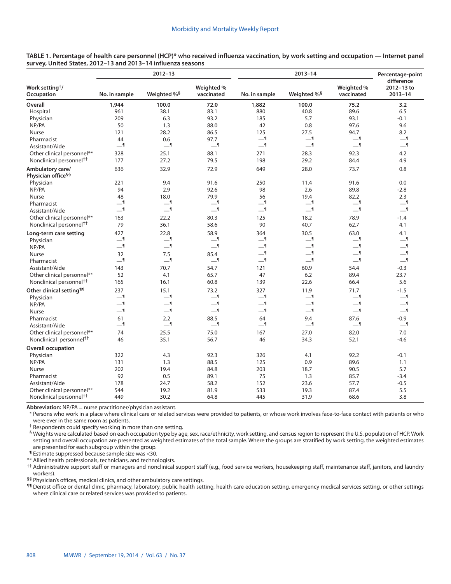|                                                    |               | $2012 - 13$             |                          |                          | Percentage-point        |                          |                                         |
|----------------------------------------------------|---------------|-------------------------|--------------------------|--------------------------|-------------------------|--------------------------|-----------------------------------------|
| Work setting <sup>†</sup> /<br><b>Occupation</b>   | No. in sample | Weighted % <sup>§</sup> | Weighted %<br>vaccinated | No. in sample            | Weighted % <sup>§</sup> | Weighted %<br>vaccinated | difference<br>2012-13 to<br>$2013 - 14$ |
| <b>Overall</b>                                     | 1,944         | 100.0                   | 72.0                     | 1,882                    | 100.0                   | 75.2                     | 3.2                                     |
| Hospital                                           | 961           | 38.1                    | 83.1                     | 880                      | 40.8                    | 89.6                     | 6.5                                     |
| Physician                                          | 209           | 6.3                     | 93.2                     | 185                      | 5.7                     | 93.1                     | $-0.1$                                  |
| NP/PA                                              | 50            | 1.3                     | 88.0                     | 42                       | 0.8                     | 97.6                     | 9.6                                     |
| Nurse                                              | 121           | 28.2                    | 86.5                     | 125                      | 27.5                    | 94.7                     | 8.2                                     |
| Pharmacist                                         | 44            | 0.6                     | 97.7                     | $-1$                     | $-1$                    | $-1$                     | <u>_</u> ¶                              |
| Assistant/Aide                                     | $-9$          | $-1$                    | $-1$                     | $\overline{\phantom{0}}$ | $-1$                    | $-9$                     | $-1$                                    |
| Other clinical personnel**                         | 328           | 25.1                    | 88.1                     | 271                      | 28.3                    | 92.3                     | 4.2                                     |
| Nonclinical personnel <sup>††</sup>                | 177           | 27.2                    | 79.5                     | 198                      | 29.2                    | 84.4                     | 4.9                                     |
| Ambulatory care/<br>Physician office <sup>§§</sup> | 636           | 32.9                    | 72.9                     | 649                      | 28.0                    | 73.7                     | 0.8                                     |
| Physician                                          | 221           | 9.4                     | 91.6                     | 250                      | 11.4                    | 91.6                     | 0.0                                     |
| NP/PA                                              | 94            | 2.9                     | 92.6                     | 98                       | 2.6                     | 89.8                     | $-2.8$                                  |
| <b>Nurse</b>                                       | 48            | 18.0                    | 79.9                     | 56                       | 19.4                    | 82.2                     | 2.3                                     |
| Pharmacist                                         | $-1$          | $-1$                    | $-1$                     | $-1$                     | $-1$                    | $-1$                     | $-1$                                    |
| Assistant/Aide                                     | $-1$          | $-1$                    | $-1$                     | ا __                     | $-1$                    | —¶                       | $-1$                                    |
| Other clinical personnel**                         | 163           | 22.2                    | 80.3                     | 125                      | 18.2                    | 78.9                     | $-1.4$                                  |
| Nonclinical personnel <sup>++</sup>                | 79            | 36.1                    | 58.6                     | 90                       | 40.7                    | 62.7                     | 4.1                                     |
| Long-term care setting<br>Physician                | 427<br>$-9$   | 22.8<br>—¶              | 58.9<br>__¶              | 364<br>$-1$              | 30.5<br>$-1$            | 63.0<br>$-9$             | 4.1<br>—¶                               |
| NP/PA                                              | $-9$          | —¶                      | $-1$                     | $\overline{\phantom{0}}$ | $-1$                    | $-9$                     | $-9$                                    |
| Nurse                                              | 32            | 7.5                     | 85.4                     | $-1$                     | $-1$                    | $-9$                     | $-1$                                    |
| Pharmacist                                         | $-1$          | $-1$                    | $-1$                     | $\overline{\phantom{0}}$ | $-1$                    | $-9$                     | $-1$                                    |
| Assistant/Aide                                     | 143           | 70.7                    | 54.7                     | 121                      | 60.9                    | 54.4                     | $-0.3$                                  |
| Other clinical personnel**                         | 52            | 4.1                     | 65.7                     | 47                       | 6.2                     | 89.4                     | 23.7                                    |
| Nonclinical personnel <sup>++</sup>                | 165           | 16.1                    | 60.8                     | 139                      | 22.6                    | 66.4                     | 5.6                                     |
| Other clinical setting <sup>11</sup>               | 237           | 15.1                    | 73.2                     | 327                      | 11.9                    | 71.7                     | $-1.5$                                  |
| Physician                                          | $-9$          | $-1$                    | $-1$                     | $-1$                     | $-1$                    | $-9$                     | $-1$                                    |
| NP/PA                                              | $-$           | $-1$                    | $\overline{\phantom{0}}$ | —¶                       | $-1$                    | —¶                       | $-1$                                    |
| <b>Nurse</b>                                       | $-1$          | $-1$                    | $-1$                     | $-1$                     | $-1$                    | $-9$                     | $-1$                                    |
| Pharmacist                                         | 61            | 2.2                     | 88.5                     | 64                       | 9.4                     | 87.6                     | $-0.9$                                  |
| Assistant/Aide                                     | __¶           | —¶                      | __¶                      | ___ ¶                    | $-1$                    | __¶                      | $-1$                                    |
| Other clinical personnel**                         | 74            | 25.5                    | 75.0                     | 167                      | 27.0                    | 82.0                     | 7.0                                     |
| Nonclinical personnel <sup>††</sup>                | 46            | 35.1                    | 56.7                     | 46                       | 34.3                    | 52.1                     | -4.6                                    |
| <b>Overall occupation</b>                          |               |                         |                          |                          |                         |                          |                                         |
| Physician                                          | 322           | 4.3                     | 92.3                     | 326                      | 4.1                     | 92.2                     | $-0.1$                                  |
| NP/PA                                              | 131           | 1.3                     | 88.5                     | 125                      | 0.9                     | 89.6                     | 1.1                                     |
| <b>Nurse</b>                                       | 202           | 19.4                    | 84.8                     | 203                      | 18.7                    | 90.5                     | 5.7                                     |
| Pharmacist                                         | 92            | 0.5                     | 89.1                     | 75                       | 1.3                     | 85.7                     | $-3.4$                                  |
| Assistant/Aide                                     | 178           | 24.7                    | 58.2                     | 152                      | 23.6                    | 57.7                     | -0.5                                    |
| Other clinical personnel**                         | 544           | 19.2                    | 81.9                     | 533                      | 19.3                    | 87.4                     | 5.5                                     |
| Nonclinical personnel <sup>††</sup>                | 449           | 30.2                    | 64.8                     | 445                      | 31.9                    | 68.6                     | 3.8                                     |

**TABLE 1. Percentage of health care personnel (HCP)\* who received influenza vaccination, by work setting and occupation — Internet panel survey, United States, 2012–13 and 2013–14 influenza seasons**

**Abbreviation:** NP/PA = nurse practitioner/physician assistant.

\* Persons who work in a place where clinical care or related services were provided to patients, or whose work involves face-to-face contact with patients or who were ever in the same room as patients.

† Respondents could specify working in more than one setting.

§ Weights were calculated based on each occupation type by age, sex, race/ethnicity, work setting, and census region to represent the U.S. population of HCP. Work setting and overall occupation are presented as weighted estimates of the total sample. Where the groups are stratified by work setting, the weighted estimates are presented for each subgroup within the group.

¶ Estimate suppressed because sample size was <30.

\*\* Allied health professionals, technicians, and technologists.

†† Administrative support staff or managers and nonclinical support staff (e.g., food service workers, housekeeping staff, maintenance staff, janitors, and laundry workers).

§§ Physician's offices, medical clinics, and other ambulatory care settings.

11 Dentist office or dental clinic, pharmacy, laboratory, public health setting, health care education setting, emergency medical services setting, or other settings where clinical care or related services was provided to patients.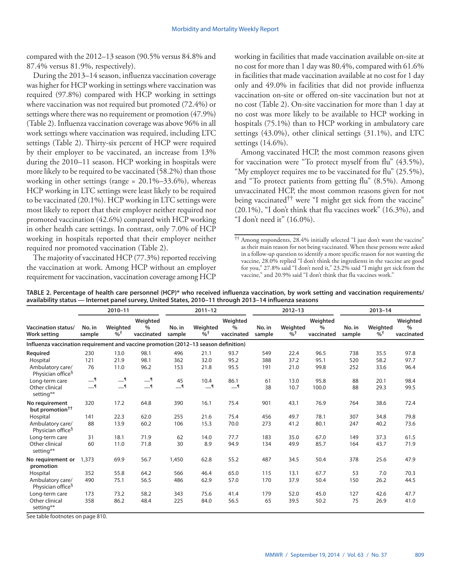compared with the 2012–13 season (90.5% versus 84.8% and 87.4% versus 81.9%, respectively).

During the 2013–14 season, influenza vaccination coverage was higher for HCP working in settings where vaccination was required (97.8%) compared with HCP working in settings where vaccination was not required but promoted (72.4%) or settings where there was no requirement or promotion (47.9%) (Table 2). Influenza vaccination coverage was above 96% in all work settings where vaccination was required, including LTC settings (Table 2). Thirty-six percent of HCP were required by their employer to be vaccinated, an increase from 13% during the 2010–11 season. HCP working in hospitals were more likely to be required to be vaccinated (58.2%) than those working in other settings (range =  $20.1\% - 33.6\%$ ), whereas HCP working in LTC settings were least likely to be required to be vaccinated (20.1%). HCP working in LTC settings were most likely to report that their employer neither required nor promoted vaccination (42.6%) compared with HCP working in other health care settings. In contrast, only 7.0% of HCP working in hospitals reported that their employer neither required nor promoted vaccination (Table 2).

The majority of vaccinated HCP (77.3%) reported receiving the vaccination at work. Among HCP without an employer requirement for vaccination, vaccination coverage among HCP

working in facilities that made vaccination available on-site at no cost for more than 1 day was 80.4%, compared with 61.6% in facilities that made vaccination available at no cost for 1 day only and 49.0% in facilities that did not provide influenza vaccination on-site or offered on-site vaccination but not at no cost (Table 2). On-site vaccination for more than 1 day at no cost was more likely to be available to HCP working in hospitals (75.1%) than to HCP working in ambulatory care settings (43.0%), other clinical settings (31.1%), and LTC settings (14.6%).

Among vaccinated HCP, the most common reasons given for vaccination were "To protect myself from flu" (43.5%), "My employer requires me to be vaccinated for flu" (25.5%), and "To protect patients from getting flu" (8.5%). Among unvaccinated HCP, the most common reasons given for not being vaccinated<sup>††</sup> were "I might get sick from the vaccine" (20.1%), "I don't think that flu vaccines work" (16.3%), and "I don't need it" (16.0%).

<sup>††</sup> Among respondents, 28.4% initially selected "I just don't want the vaccine" as their main reason for not being vaccinated. When these persons were asked in a follow-up question to identify a more specific reason for not wanting the vaccine, 28.0% replied "I don't think the ingredients in the vaccine are good for you," 27.8% said "I don't need it," 23.2% said "I might get sick from the vaccine," and 20.9% said "I don't think that flu vaccines work."

| TABLE 2. Percentage of health care personnel (HCP)* who received influenza vaccination, by work setting and vaccination requirements/ |
|---------------------------------------------------------------------------------------------------------------------------------------|
| availability status — Internet panel survey, United States, 2010-11 through 2013-14 influenza seasons                                 |

|                                                                                     | $2010 - 11$              |                               |                                | $2011 - 12$      |                              |                                | $2012 - 13$      |                |                                | $2013 - 14$      |                               |                                |
|-------------------------------------------------------------------------------------|--------------------------|-------------------------------|--------------------------------|------------------|------------------------------|--------------------------------|------------------|----------------|--------------------------------|------------------|-------------------------------|--------------------------------|
| <b>Vaccination status/</b><br><b>Work setting</b>                                   | No. in<br>sample         | Weighted<br>$\%$ <sup>+</sup> | Weighted<br>$\%$<br>vaccinated | No. in<br>sample | Weighted<br>$%$ <sup>+</sup> | Weighted<br>$\%$<br>vaccinated | No. in<br>sample | Weighted<br>%† | Weighted<br>$\%$<br>vaccinated | No. in<br>sample | Weighted<br>$\%$ <sup>+</sup> | Weighted<br>$\%$<br>vaccinated |
| Influenza vaccination requirement and vaccine promotion (2012-13 season definition) |                          |                               |                                |                  |                              |                                |                  |                |                                |                  |                               |                                |
| Required                                                                            | 230                      | 13.0                          | 98.1                           | 496              | 21.1                         | 93.7                           | 549              | 22.4           | 96.5                           | 738              | 35.5                          | 97.8                           |
| Hospital                                                                            | 121                      | 21.9                          | 98.1                           | 362              | 32.0                         | 95.2                           | 388              | 37.2           | 95.1                           | 520              | 58.2                          | 97.7                           |
| Ambulatory care/<br>Physician office <sup>§</sup>                                   | 76                       | 11.0                          | 96.2                           | 153              | 21.8                         | 95.5                           | 191              | 21.0           | 99.8                           | 252              | 33.6                          | 96.4                           |
| Long-term care                                                                      | $-1$                     | $-9$                          | $-9$                           | 45               | 10.4                         | 86.1                           | 61               | 13.0           | 95.8                           | 88               | 20.1                          | 98.4                           |
| Other clinical<br>setting**                                                         | $\overline{\phantom{0}}$ | $-1$                          | $-9$                           | $-1$             | $-1$                         | $-9$                           | 38               | 10.7           | 100.0                          | 88               | 29.3                          | 99.5                           |
| No requirement<br>but promotion <sup>††</sup>                                       | 320                      | 17.2                          | 64.8                           | 390              | 16.1                         | 75.4                           | 901              | 43.1           | 76.9                           | 764              | 38.6                          | 72.4                           |
| Hospital                                                                            | 141                      | 22.3                          | 62.0                           | 255              | 21.6                         | 75.4                           | 456              | 49.7           | 78.1                           | 307              | 34.8                          | 79.8                           |
| Ambulatory care/<br>Physician office <sup>§</sup>                                   | 88                       | 13.9                          | 60.2                           | 106              | 15.3                         | 70.0                           | 273              | 41.2           | 80.1                           | 247              | 40.2                          | 73.6                           |
| Long-term care                                                                      | 31                       | 18.1                          | 71.9                           | 62               | 14.0                         | 77.7                           | 183              | 35.0           | 67.0                           | 149              | 37.3                          | 61.5                           |
| Other clinical<br>setting**                                                         | 60                       | 11.0                          | 71.8                           | 30               | 8.9                          | 94.9                           | 134              | 49.9           | 85.7                           | 164              | 43.7                          | 71.9                           |
| No requirement or<br>promotion                                                      | 1,373                    | 69.9                          | 56.7                           | 1,450            | 62.8                         | 55.2                           | 487              | 34.5           | 50.4                           | 378              | 25.6                          | 47.9                           |
| Hospital                                                                            | 352                      | 55.8                          | 64.2                           | 566              | 46.4                         | 65.0                           | 115              | 13.1           | 67.7                           | 53               | 7.0                           | 70.3                           |
| Ambulatory care/<br>Physician office <sup>§</sup>                                   | 490                      | 75.1                          | 56.5                           | 486              | 62.9                         | 57.0                           | 170              | 37.9           | 50.4                           | 150              | 26.2                          | 44.5                           |
| Long-term care                                                                      | 173                      | 73.2                          | 58.2                           | 343              | 75.6                         | 41.4                           | 179              | 52.0           | 45.0                           | 127              | 42.6                          | 47.7                           |
| Other clinical<br>setting**                                                         | 358                      | 86.2                          | 48.4                           | 225              | 84.0                         | 56.5                           | 65               | 39.5           | 50.2                           | 75               | 26.9                          | 41.0                           |

See table footnotes on page 810.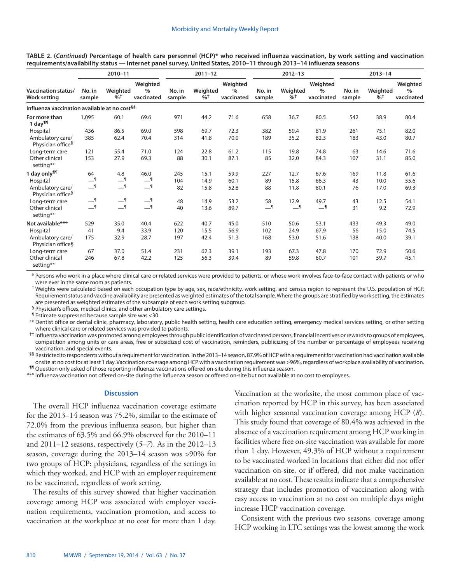| TABLE 2. (Continued) Percentage of health care personnel (HCP)* who received influenza vaccination, by work setting and vaccination |  |
|-------------------------------------------------------------------------------------------------------------------------------------|--|
| requirements/availability status — Internet panel survey, United States, 2010–11 through 2013–14 influenza seasons                  |  |

|                                                          | 2010-11          |                               |                                | $2011 - 12$      |                               |                                |                  | $2012 - 13$                   |                                | $2013 - 14$      |                |                                |
|----------------------------------------------------------|------------------|-------------------------------|--------------------------------|------------------|-------------------------------|--------------------------------|------------------|-------------------------------|--------------------------------|------------------|----------------|--------------------------------|
| <b>Vaccination status/</b><br><b>Work setting</b>        | No. in<br>sample | Weighted<br>$\%$ <sup>+</sup> | Weighted<br>$\%$<br>vaccinated | No. in<br>sample | Weighted<br>$\%$ <sup>+</sup> | Weighted<br>$\%$<br>vaccinated | No. in<br>sample | Weighted<br>$\%$ <sup>+</sup> | Weighted<br>$\%$<br>vaccinated | No. in<br>sample | Weighted<br>%† | Weighted<br>$\%$<br>vaccinated |
| Influenza vaccination available at no cost <sup>§§</sup> |                  |                               |                                |                  |                               |                                |                  |                               |                                |                  |                |                                |
| For more than<br>1 day <sup>¶</sup>                      | 1,095            | 60.1                          | 69.6                           | 971              | 44.2                          | 71.6                           | 658              | 36.7                          | 80.5                           | 542              | 38.9           | 80.4                           |
| Hospital                                                 | 436              | 86.5                          | 69.0                           | 598              | 69.7                          | 72.3                           | 382              | 59.4                          | 81.9                           | 261              | 75.1           | 82.0                           |
| Ambulatory care/<br>Physician office <sup>9</sup>        | 385              | 62.4                          | 70.4                           | 314              | 41.8                          | 70.0                           | 189              | 35.2                          | 82.3                           | 183              | 43.0           | 80.7                           |
| Long-term care                                           | 121              | 55.4                          | 71.0                           | 124              | 22.8                          | 61.2                           | 115              | 19.8                          | 74.8                           | 63               | 14.6           | 71.6                           |
| Other clinical<br>setting**                              | 153              | 27.9                          | 69.3                           | 88               | 30.1                          | 87.1                           | 85               | 32.0                          | 84.3                           | 107              | 31.1           | 85.0                           |
| 1 day only <sup>11</sup>                                 | 64               | 4.8                           | 46.0                           | 245              | 15.1                          | 59.9                           | 227              | 12.7                          | 67.6                           | 169              | 11.8           | 61.6                           |
| Hospital                                                 | $-1$             | $-1$                          | $-1$                           | 104              | 14.9                          | 60.1                           | 89               | 15.8                          | 66.3                           | 43               | 10.0           | 55.6                           |
| Ambulatory care/<br>Physician office <sup>§</sup>        | $-1$             | $-1$                          | $-9$                           | 82               | 15.8                          | 52.8                           | 88               | 11.8                          | 80.1                           | 76               | 17.0           | 69.3                           |
| Long-term care                                           | $-1$             | $-1$                          | $-1$                           | 48               | 14.9                          | 53.2                           | 58               | 12.9                          | 49.7                           | 43               | 12.5           | 54.1                           |
| Other clinical<br>setting**                              | $-1$             | —¶                            | $-1$                           | 40               | 13.6                          | 89.7                           | $-1$             | —¶                            | $-9$                           | 31               | 9.2            | 72.9                           |
| Not available***                                         | 529              | 35.0                          | 40.4                           | 622              | 40.7                          | 45.0                           | 510              | 50.6                          | 53.1                           | 433              | 49.3           | 49.0                           |
| Hospital                                                 | 41               | 9.4                           | 33.9                           | 120              | 15.5                          | 56.9                           | 102              | 24.9                          | 67.9                           | 56               | 15.0           | 74.5                           |
| Ambulatory care/<br>Physician office§                    | 175              | 32.9                          | 28.7                           | 197              | 42.4                          | 51.3                           | 168              | 53.0                          | 51.6                           | 138              | 40.0           | 39.1                           |
| Long-term care                                           | 67               | 37.0                          | 51.4                           | 231              | 62.3                          | 39.1                           | 193              | 67.3                          | 47.8                           | 170              | 72.9           | 50.6                           |
| Other clinical<br>setting**                              | 246              | 67.8                          | 42.2                           | 125              | 56.3                          | 39.4                           | 89               | 59.8                          | 60.7                           | 101              | 59.7           | 45.1                           |

\* Persons who work in a place where clinical care or related services were provided to patients, or whose work involves face-to-face contact with patients or who were ever in the same room as patients.

† Weights were calculated based on each occupation type by age, sex, race/ethnicity, work setting, and census region to represent the U.S. population of HCP. Requirement status and vaccine availability are presented as weighted estimates of the total sample. Where the groups are stratified by work setting, the estimates are presented as weighted estimates of the subsample of each work setting subgroup.

§ Physician's offices, medical clinics, and other ambulatory care settings.

¶ Estimate suppressed because sample size was <30.

\*\* Dentist office or dental clinic, pharmacy, laboratory, public health setting, health care education setting, emergency medical services setting, or other setting where clinical care or related services was provided to patients.

†† Influenza vaccination was promoted among employees through public identification of vaccinated persons, financial incentives or rewards to groups of employees, competition among units or care areas, free or subsidized cost of vaccination, reminders, publicizing of the number or percentage of employees receiving vaccination, and special events.

<sup>§§</sup> Restricted to respondents without a requirement for vaccination. In the 2013-14 season, 87.9% of HCP with a requirement for vaccination had vaccination available onsite at no cost for at least 1 day. Vaccination coverage among HCP with a vaccination requirement was >96%, regardless of workplace availability of vaccination. ¶¶ Question only asked of those reporting influenza vaccinations offered on-site during this influenza season.

\*\*\* Influenza vaccination not offered on-site during the influenza season or offered on-site but not available at no cost to employees.

#### **Discussion**

The overall HCP influenza vaccination coverage estimate for the 2013–14 season was 75.2%, similar to the estimate of 72.0% from the previous influenza season, but higher than the estimates of 63.5% and 66.9% observed for the 2010–11 and 2011–12 seasons, respectively (*5–7*). As in the 2012–13 season, coverage during the 2013–14 season was >90% for two groups of HCP: physicians, regardless of the settings in which they worked, and HCP with an employer requirement to be vaccinated, regardless of work setting.

The results of this survey showed that higher vaccination coverage among HCP was associated with employer vaccination requirements, vaccination promotion, and access to vaccination at the workplace at no cost for more than 1 day. Vaccination at the worksite, the most common place of vaccination reported by HCP in this survey, has been associated with higher seasonal vaccination coverage among HCP (*8*). This study found that coverage of 80.4% was achieved in the absence of a vaccination requirement among HCP working in facilities where free on-site vaccination was available for more than 1 day. However, 49.3% of HCP without a requirement to be vaccinated worked in locations that either did not offer vaccination on-site, or if offered, did not make vaccination available at no cost. These results indicate that a comprehensive strategy that includes promotion of vaccination along with easy access to vaccination at no cost on multiple days might increase HCP vaccination coverage.

Consistent with the previous two seasons, coverage among HCP working in LTC settings was the lowest among the work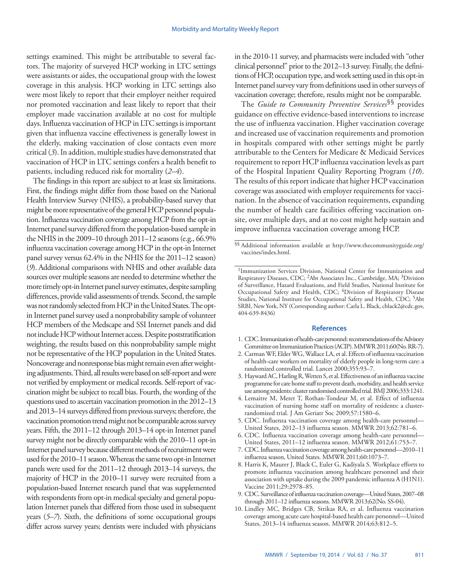settings examined. This might be attributable to several factors. The majority of surveyed HCP working in LTC settings were assistants or aides, the occupational group with the lowest coverage in this analysis. HCP working in LTC settings also were most likely to report that their employer neither required nor promoted vaccination and least likely to report that their employer made vaccination available at no cost for multiple days. Influenza vaccination of HCP in LTC settings is important given that influenza vaccine effectiveness is generally lowest in the elderly, making vaccination of close contacts even more critical (*3*). In addition, multiple studies have demonstrated that vaccination of HCP in LTC settings confers a health benefit to patients, including reduced risk for mortality (*2–4*).

The findings in this report are subject to at least six limitations. First, the findings might differ from those based on the National Health Interview Survey (NHIS), a probability-based survey that might be more representative of the general HCP personnel population. Influenza vaccination coverage among HCP from the opt-in Internet panel survey differed from the population-based sample in the NHIS in the 2009–10 through 2011–12 seasons (e.g., 66.9% influenza vaccination coverage among HCP in the opt-in Internet panel survey versus 62.4% in the NHIS for the 2011–12 season) (*9*). Additional comparisons with NHIS and other available data sources over multiple seasons are needed to determine whether the more timely opt-in Internet panel survey estimates, despite sampling differences, provide valid assessments of trends. Second, the sample was not randomly selected from HCP in the United States. The optin Internet panel survey used a nonprobability sample of volunteer HCP members of the Medscape and SSI Internet panels and did not include HCP without Internet access. Despite poststratification weighting, the results based on this nonprobability sample might not be representative of the HCP population in the United States. Noncoverage and nonresponse bias might remain even after weighting adjustments. Third, all results were based on self-report and were not verified by employment or medical records. Self-report of vaccination might be subject to recall bias. Fourth, the wording of the questions used to ascertain vaccination promotion in the 2012–13 and 2013–14 surveys differed from previous surveys; therefore, the vaccination promotion trend might not be comparable across survey years. Fifth, the 2011–12 through 2013–14 opt-in Internet panel survey might not be directly comparable with the 2010–11 opt-in Internet panel survey because different methods of recruitment were used for the 2010–11 season. Whereas the same two opt-in Internet panels were used for the 2011–12 through 2013–14 surveys, the majority of HCP in the 2010–11 survey were recruited from a population-based Internet research panel that was supplemented with respondents from opt-in medical specialty and general population Internet panels that differed from those used in subsequent years (*5–7*). Sixth, the definitions of some occupational groups differ across survey years; dentists were included with physicians

in the 2010-11 survey, and pharmacists were included with "other clinical personnel" prior to the 2012–13 survey. Finally, the definitions of HCP, occupation type, and work setting used in this opt-in Internet panel survey vary from definitions used in other surveys of vaccination coverage; therefore, results might not be comparable.

The *Guide to Community Preventive Services*§§ provides guidance on effective evidence-based interventions to increase the use of influenza vaccination. Higher vaccination coverage and increased use of vaccination requirements and promotion in hospitals compared with other settings might be partly attributable to the Centers for Medicare & Medicaid Services requirement to report HCP influenza vaccination levels as part of the Hospital Inpatient Quality Reporting Program (*10*). The results of this report indicate that higher HCP vaccination coverage was associated with employer requirements for vaccination. In the absence of vaccination requirements, expanding the number of health care facilities offering vaccination onsite, over multiple days, and at no cost might help sustain and improve influenza vaccination coverage among HCP.

#### **References**

- 1. CDC. Immunization of health-care personnel: recommendations of the Advisory Committee on Immunization Practices (ACIP). MMWR 2011;60(No. RR-7).
- 2. Carman WF, Elder WG, Wallace LA, et al. Effects of influenza vaccination of health-care workers on mortality of elderly people in long-term care: a randomized controlled trial. Lancet 2000;355:93–7.
- 3. Hayward AC, Harling R, Wetten S, et al. Effectiveness of an influenza vaccine programme for care home staff to prevent death, morbidity, and health service use among residents: cluster randomised controlled trial. BMJ 2006;333:1241.
- 4. Lemaitre M, Meret T, Rothan-Tondeur M, et al. Effect of influenza vaccination of nursing home staff on mortality of residents: a clusterrandomized trial. J Am Geriatr Soc 2009;57:1580–6.
- 5. CDC. Influenza vaccination coverage among health-care personnel— United States, 2012–13 influenza season. MMWR 2013;62:781–6.
- 6. CDC. Influenza vaccination coverage among health-care personnel— United States, 2011–12 influenza season. MMWR 2012;61:753–7.
- 7. CDC. Influenza vaccination coverage among health-care personnel—2010–11 influenza season, United States. MMWR 2011;60:1073–7.
- 8. Harris K, Maurer J, Black C, Euler G, Kadiyala S. Workplace efforts to promote influenza vaccination among healthcare personnel and their association with uptake during the 2009 pandemic influenza A (H1N1). Vaccine 2011;29:2978–85.
- 9. CDC. Surveillance of influenza vaccination coverage—United States, 2007–08 through 2011–12 influenza seasons. MMWR 2013;62(No. SS-04).
- 10. Lindley MC, Bridges CB, Strikas RA, et al. Influenza vaccination coverage among acute care hospital-based health care personnel—United States, 2013–14 influenza season. MMWR 2014;63:812–5.

<sup>§§</sup> Additional information available at [http://www.thecommunityguide.org/](http://www.thecommunityguide.org/vaccines/index.html) [vaccines/index.html.](http://www.thecommunityguide.org/vaccines/index.html)

<sup>1</sup>Immunization Services Division, National Center for Immunization and Respiratory Diseases, CDC; 2Abt Associates Inc., Cambridge, MA; 3Division of Surveillance, Hazard Evaluations, and Field Studies, National Institute for Occupational Safety and Health, CDC; <sup>4</sup>Division of Respiratory Disease Studies, National Institute for Occupational Safety and Health, CDC; <sup>5</sup>Abt SRBI, New York, NY (Corresponding author: Carla L. Black, [cblack2@cdc.gov,](mailto:cblack2@cdc.gov) 404-639-8436)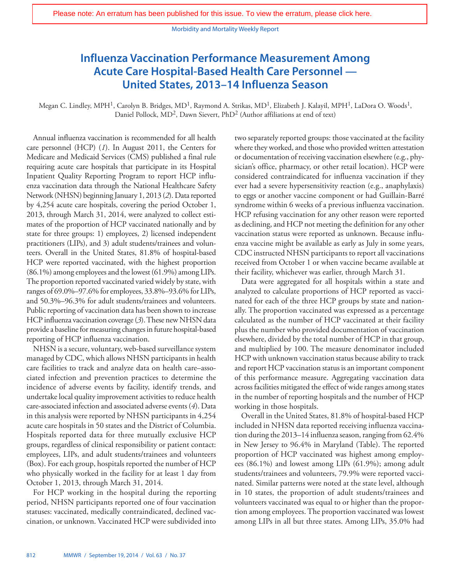Morbidity and Mortality Weekly Report

## <span id="page-7-0"></span>**Influenza Vaccination Performance Measurement Among Acute Care Hospital-Based Health Care Personnel — United States, 2013–14 Influenza Season**

Megan C. Lindley, MPH<sup>1</sup>, Carolyn B. Bridges, MD<sup>1</sup>, Raymond A. Strikas, MD<sup>1</sup>, Elizabeth J. Kalayil, MPH<sup>1</sup>, LaDora O. Woods<sup>1</sup>, Daniel Pollock, MD2, Dawn Sievert, PhD2 (Author affiliations at end of text)

Annual influenza vaccination is recommended for all health care personnel (HCP) (*1*). In August 2011, the Centers for Medicare and Medicaid Services (CMS) published a final rule requiring acute care hospitals that participate in its Hospital Inpatient Quality Reporting Program to report HCP influenza vaccination data through the National Healthcare Safety Network (NHSN) beginning January 1, 2013 (*2*). Data reported by 4,254 acute care hospitals, covering the period October 1, 2013, through March 31, 2014, were analyzed to collect estimates of the proportion of HCP vaccinated nationally and by state for three groups: 1) employees, 2) licensed independent practitioners (LIPs), and 3) adult students/trainees and volunteers. Overall in the United States, 81.8% of hospital-based HCP were reported vaccinated, with the highest proportion (86.1%) among employees and the lowest (61.9%) among LIPs. The proportion reported vaccinated varied widely by state, with ranges of 69.0%–97.6% for employees, 33.8%–93.6% for LIPs, and 50.3%–96.3% for adult students/trainees and volunteers. Public reporting of vaccination data has been shown to increase HCP influenza vaccination coverage (*3*). These new NHSN data provide a baseline for measuring changes in future hospital-based reporting of HCP influenza vaccination.

NHSN is a secure, voluntary, web-based surveillance system managed by CDC, which allows NHSN participants in health care facilities to track and analyze data on health care–associated infection and prevention practices to determine the incidence of adverse events by facility, identify trends, and undertake local quality improvement activities to reduce health care-associated infection and associated adverse events (*4*). Data in this analysis were reported by NHSN participants in 4,254 acute care hospitals in 50 states and the District of Columbia. Hospitals reported data for three mutually exclusive HCP groups, regardless of clinical responsibility or patient contact: employees, LIPs, and adult students/trainees and volunteers (Box). For each group, hospitals reported the number of HCP who physically worked in the facility for at least 1 day from October 1, 2013, through March 31, 2014.

For HCP working in the hospital during the reporting period, NHSN participants reported one of four vaccination statuses: vaccinated, medically contraindicated, declined vaccination, or unknown. Vaccinated HCP were subdivided into

two separately reported groups: those vaccinated at the facility where they worked, and those who provided written attestation or documentation of receiving vaccination elsewhere (e.g., physician's office, pharmacy, or other retail location). HCP were considered contraindicated for influenza vaccination if they ever had a severe hypersensitivity reaction (e.g., anaphylaxis) to eggs or another vaccine component or had Guillain-Barré syndrome within 6 weeks of a previous influenza vaccination. HCP refusing vaccination for any other reason were reported as declining, and HCP not meeting the definition for any other vaccination status were reported as unknown. Because influenza vaccine might be available as early as July in some years, CDC instructed NHSN participants to report all vaccinations received from October 1 or when vaccine became available at their facility, whichever was earlier, through March 31.

Data were aggregated for all hospitals within a state and analyzed to calculate proportions of HCP reported as vaccinated for each of the three HCP groups by state and nationally. The proportion vaccinated was expressed as a percentage calculated as the number of HCP vaccinated at their facility plus the number who provided documentation of vaccination elsewhere, divided by the total number of HCP in that group, and multiplied by 100. The measure denominator included HCP with unknown vaccination status because ability to track and report HCP vaccination status is an important component of this performance measure. Aggregating vaccination data across facilities mitigated the effect of wide ranges among states in the number of reporting hospitals and the number of HCP working in those hospitals.

Overall in the United States, 81.8% of hospital-based HCP included in NHSN data reported receiving influenza vaccination during the 2013–14 influenza season, ranging from 62.4% in New Jersey to 96.4% in Maryland (Table). The reported proportion of HCP vaccinated was highest among employees (86.1%) and lowest among LIPs (61.9%); among adult students/trainees and volunteers, 79.9% were reported vaccinated. Similar patterns were noted at the state level, although in 10 states, the proportion of adult students/trainees and volunteers vaccinated was equal to or higher than the proportion among employees. The proportion vaccinated was lowest among LIPs in all but three states. Among LIPs, 35.0% had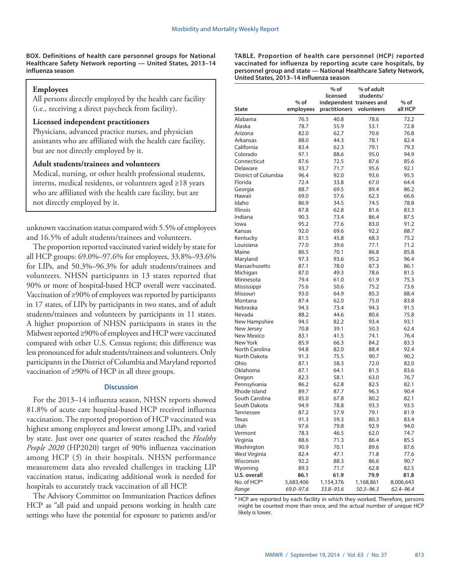**BOX. Definitions of health care personnel groups for National Healthcare Safety Network reporting — United States, 2013–14 influenza season** 

#### **Employees**

All persons directly employed by the health care facility (i.e., receiving a direct paycheck from facility).

### **Licensed independent practitioners**

Physicians, advanced practice nurses, and physician assistants who are affiliated with the health care facility, but are not directly employed by it.

#### **Adult students/trainees and volunteers**

Medical, nursing, or other health professional students, interns, medical residents, or volunteers aged ≥18 years who are affiliated with the health care facility, but are not directly employed by it.

unknown vaccination status compared with 5.5% of employees and 16.5% of adult students/trainees and volunteers.

The proportion reported vaccinated varied widely by state for all HCP groups: 69.0%–97.6% for employees, 33.8%–93.6% for LIPs, and 50.3%–96.3% for adult students/trainees and volunteers. NHSN participants in 13 states reported that 90% or more of hospital-based HCP overall were vaccinated. Vaccination of ≥90% of employees was reported by participants in 17 states, of LIPs by participants in two states, and of adult students/trainees and volunteers by participants in 11 states. A higher proportion of NHSN participants in states in the Midwest reported ≥90% of employees and HCP were vaccinated compared with other U.S. Census regions; this difference was less pronounced for adult students/trainees and volunteers. Only participants in the District of Columbia and Maryland reported vaccination of ≥90% of HCP in all three groups.

#### **Discussion**

For the 2013–14 influenza season, NHSN reports showed 81.8% of acute care hospital-based HCP received influenza vaccination. The reported proportion of HCP vaccinated was highest among employees and lowest among LIPs, and varied by state. Just over one quarter of states reached the *Healthy People 2020* (HP2020) target of 90% influenza vaccination among HCP (*5*) in their hospitals. NHSN performance measurement data also revealed challenges in tracking LIP vaccination status, indicating additional work is needed for hospitals to accurately track vaccination of all HCP.

The Advisory Committee on Immunization Practices defines HCP as "all paid and unpaid persons working in health care settings who have the potential for exposure to patients and/or

**TABLE. Proportion of health care personnel (HCP) reported vaccinated for influenza by reporting acute care hospitals, by personnel group and state — National Healthcare Safety Network, United States, 2013–14 influenza season**

| <b>State</b>         | $%$ of<br>employees | $%$ of<br>licensed<br>independent trainees and<br>practitioners | % of adult<br>students/<br>volunteers | % of<br>all HCP |
|----------------------|---------------------|-----------------------------------------------------------------|---------------------------------------|-----------------|
| Alabama              | 76.5                | 40.8                                                            | 78.6                                  | 72.2            |
| Alaska               | 78.7                | 55.9                                                            | 53.1                                  | 72.8            |
| Arizona              | 82.0                | 62.7                                                            | 70.6                                  | 76.8            |
| Arkansas             | 88.0                | 44.3                                                            | 78.1                                  | 82.4            |
| California           | 83.4                | 62.3                                                            | 79.1                                  | 79.3            |
| Colorado             | 97.1                | 88.6                                                            | 95.0                                  | 94.9            |
| Connecticut          | 87.6                | 72.5                                                            | 87.6                                  | 85.6            |
| Delaware             | 93.7                | 71.7                                                            | 95.6                                  | 92.1            |
| District of Columbia | 96.4                | 92.0                                                            | 93.6                                  | 95.5            |
| Florida              | 72.4                | 33.8                                                            | 67.0                                  | 64.4            |
| Georgia              | 88.7                | 69.5                                                            | 89.4                                  | 86.2            |
| Hawaii               | 69.0                | 57.6                                                            | 62.3                                  | 66.6            |
| Idaho                | 86.9                | 34.5                                                            | 74.5                                  | 78.8            |
| <b>Illinois</b>      | 87.8                | 62.8                                                            | 81.6                                  | 83.3            |
| Indiana              | 90.3                | 73.4                                                            | 86.4                                  | 87.5            |
| lowa                 | 95.2                | 77.6                                                            | 83.0                                  | 91.2            |
|                      |                     |                                                                 | 92.2                                  |                 |
| Kansas               | 92.0                | 69.6                                                            |                                       | 88.7            |
| Kentucky             | 81.5                | 45.8                                                            | 68.3                                  | 75.2            |
| Louisiana            | 77.0                | 39.6                                                            | 77.1                                  | 71.2            |
| Maine                | 86.5                | 70.1                                                            | 86.8                                  | 85.8            |
| Maryland             | 97.3                | 93.6                                                            | 95.2                                  | 96.4            |
| Massachusetts        | 87.1                | 78.0                                                            | 87.3                                  | 86.1            |
| Michigan             | 87.0                | 49.3                                                            | 78.6                                  | 81.5            |
| Minnesota            | 79.4                | 61.0                                                            | 61.9                                  | 75.3            |
| Mississippi          | 75.6                | 50.6                                                            | 75.2                                  | 73.6            |
| Missouri             | 93.0                | 64.9                                                            | 85.3                                  | 88.4            |
| Montana              | 87.4                | 62.0                                                            | 75.0                                  | 83.8            |
| Nebraska             | 94.3                | 73.4                                                            | 94.3                                  | 91.5            |
| Nevada               | 88.2                | 44.6                                                            | 80.6                                  | 75.8            |
| New Hampshire        | 94.5                | 82.2                                                            | 93.4                                  | 93.1            |
| New Jersey           | 70.8                | 39.1                                                            | 50.3                                  | 62.4            |
| New Mexico           | 83.1                | 41.5                                                            | 74.1                                  | 76.4            |
| New York             | 85.9                | 66.3                                                            | 84.2                                  | 83.3            |
| North Carolina       | 94.8                | 82.0                                                            | 88.4                                  | 92.4            |
| North Dakota         | 91.3                | 75.5                                                            | 90.7                                  | 90.2            |
| Ohio                 | 87.1                | 58.3                                                            | 72.0                                  | 82.0            |
| Oklahoma             | 87.1                | 64.1                                                            | 81.5                                  | 83.6            |
| Oregon               | 82.3                | 58.1                                                            | 63.0                                  | 76.7            |
| Pennsylvania         | 86.2                | 62.8                                                            | 82.5                                  | 82.1            |
| Rhode Island         | 89.7                | 87.7                                                            | 96.3                                  | 90.4            |
| South Carolina       | 85.0                | 67.8                                                            | 80.2                                  | 82.1            |
| South Dakota         | 94.9                | 78.8                                                            | 93.3                                  | 93.5            |
| Tennessee            | 87.2                | 57.9                                                            | 79.1                                  | 81.9            |
| Texas                | 91.3                | 59.3                                                            | 80.3                                  | 83.4            |
| Utah                 | 97.6                | 79.8                                                            | 92.9                                  | 94.0            |
| Vermont              | 78.3                | 46.5                                                            | 62.0                                  | 74.7            |
| Virginia             | 88.6                | 71.3                                                            | 86.4                                  | 85.5            |
| Washington           | 90.9                | 70.1                                                            | 89.6                                  | 87.6            |
| West Virginia        | 82.4                | 47.1                                                            | 71.8                                  | 77.6            |
| Wisconsin            | 92.2                | 88.3                                                            | 86.6                                  | 90.7            |
| Wyoming              | 89.3                | 71.7                                                            | 62.8                                  | 82.5            |
| <b>U.S. overall</b>  |                     |                                                                 |                                       |                 |
| No. of HCP*          | 86.1<br>5,683,406   | 61.9                                                            | 79.9                                  | 81.8            |
|                      |                     | 1,154,376                                                       | 1,168,861                             | 8,006,643       |
| Range                | 69.0-97.6           | 33.8-93.6                                                       | 50.3-96.3                             | 62.4-96.4       |

\* HCP are reported by each facility in which they worked. Therefore, persons might be counted more than once, and the actual number of unique HCP likely is lower.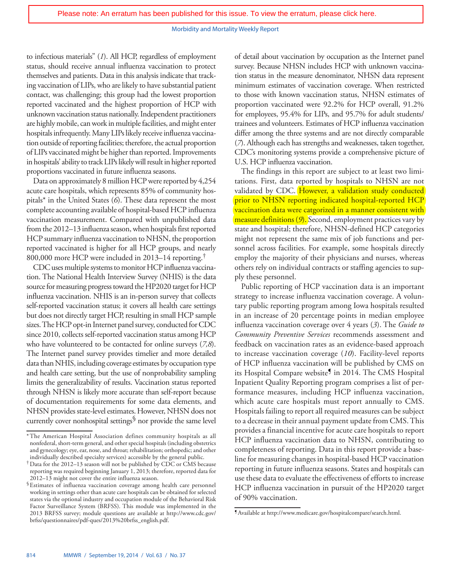#### Morbidity and Mortality Weekly Report

to infectious materials" (*1*). All HCP, regardless of employment status, should receive annual influenza vaccination to protect themselves and patients. Data in this analysis indicate that tracking vaccination of LIPs, who are likely to have substantial patient contact, was challenging; this group had the lowest proportion reported vaccinated and the highest proportion of HCP with unknown vaccination status nationally. Independent practitioners are highly mobile, can work in multiple facilities, and might enter hospitals infrequently. Many LIPs likely receive influenza vaccination outside of reporting facilities; therefore, the actual proportion of LIPs vaccinated might be higher than reported. Improvements in hospitals' ability to track LIPs likely will result in higher reported proportions vaccinated in future influenza seasons.

Data on approximately 8 million HCP were reported by 4,254 acute care hospitals, which represents 85% of community hospitals\* in the United States (*6*). These data represent the most complete accounting available of hospital-based HCP influenza vaccination measurement. Compared with unpublished data from the 2012–13 influenza season, when hospitals first reported HCP summary influenza vaccination to NHSN, the proportion reported vaccinated is higher for all HCP groups, and nearly 800,000 more HCP were included in 2013–14 reporting.†

CDC uses multiple systems to monitor HCP influenza vaccination. The National Health Interview Survey (NHIS) is the data source for measuring progress toward the HP2020 target for HCP influenza vaccination. NHIS is an in-person survey that collects self-reported vaccination status; it covers all health care settings but does not directly target HCP, resulting in small HCP sample sizes. The HCP opt-in Internet panel survey, conducted for CDC since 2010, collects self-reported vaccination status among HCP who have volunteered to be contacted for online surveys (*7,8*). The Internet panel survey provides timelier and more detailed data than NHIS, including coverage estimates by occupation type and health care setting, but the use of nonprobability sampling limits the generalizability of results. Vaccination status reported through NHSN is likely more accurate than self-report because of documentation requirements for some data elements, and NHSN provides state-level estimates.However, NHSN does not currently cover nonhospital settings§ nor provide the same level of detail about vaccination by occupation as the Internet panel survey. Because NHSN includes HCP with unknown vaccination status in the measure denominator, NHSN data represent minimum estimates of vaccination coverage. When restricted to those with known vaccination status, NHSN estimates of proportion vaccinated were 92.2% for HCP overall, 91.2% for employees, 95.4% for LIPs, and 95.7% for adult students/ trainees and volunteers. Estimates of HCP influenza vaccination differ among the three systems and are not directly comparable (*7*). Although each has strengths and weaknesses, taken together, CDC's monitoring systems provide a comprehensive picture of U.S. HCP influenza vaccination.

The findings in this report are subject to at least two limitations. First, data reported by hospitals to NHSN are not validated by CDC. However, a validation study conducted prior to NHSN reporting indicated hospital-reported HCP [vaccination data were catgorized in a manner consistent with](http://wwwdev.cdc.gov/mmwr/preview/mmwrhtml/mm6338a7.htm?s_cid=mm6338a7_w)  [measure definitions \(](http://wwwdev.cdc.gov/mmwr/preview/mmwrhtml/mm6338a7.htm?s_cid=mm6338a7_w)*9*). Second, employment practices vary by state and hospital; therefore, NHSN-defined HCP categories might not represent the same mix of job functions and personnel across facilities. For example, some hospitals directly employ the majority of their physicians and nurses, whereas others rely on individual contracts or staffing agencies to supply these personnel.

Public reporting of HCP vaccination data is an important strategy to increase influenza vaccination coverage. A voluntary public reporting program among Iowa hospitals resulted in an increase of 20 percentage points in median employee influenza vaccination coverage over 4 years (*3*). The *Guide to Community Preventive Services* recommends assessment and feedback on vaccination rates as an evidence-based approach to increase vaccination coverage (*10*). Facility-level reports of HCP influenza vaccination will be published by CMS on its Hospital Compare website<sup>9</sup> in 2014. The CMS Hospital Inpatient Quality Reporting program comprises a list of performance measures, including HCP influenza vaccination, which acute care hospitals must report annually to CMS. Hospitals failing to report all required measures can be subject to a decrease in their annual payment update from CMS. This provides a financial incentive for acute care hospitals to report HCP influenza vaccination data to NHSN, contributing to completeness of reporting. Data in this report provide a baseline for measuring changes in hospital-based HCP vaccination reporting in future influenza seasons. States and hospitals can use these data to evaluate the effectiveness of efforts to increase HCP influenza vaccination in pursuit of the HP2020 target of 90% vaccination.

<sup>\*</sup>The American Hospital Association defines community hospitals as all nonfederal, short-term general, and other special hospitals (including obstetrics and gynecology; eye, ear, nose, and throat; rehabilitation; orthopedic; and other individually described specialty services) accessible by the general public.

<sup>†</sup>Data for the 2012–13 season will not be published by CDC or CMS because reporting was required beginning January 1, 2013; therefore, reported data for 2012–13 might not cover the entire influenza season.

<sup>§</sup>Estimates of influenza vaccination coverage among health care personnel working in settings other than acute care hospitals can be obtained for selected states via the optional industry and occupation module of the Behavioral Risk Factor Surveillance System (BRFSS). This module was implemented in the 2013 BRFSS survey; module questions are available at [http://www.cdc.gov/](http://www.cdc.gov/brfss/questionnaires/pdf-ques/2013%20brfss_english.pdf) [brfss/questionnaires/pdf-ques/2013%20brfss\\_english.pdf.](http://www.cdc.gov/brfss/questionnaires/pdf-ques/2013%20brfss_english.pdf)

<sup>¶</sup>Available at [http://www.medicare.gov/hospitalcompare/search.html.](http://www.medicare.gov/hospitalcompare/search.html)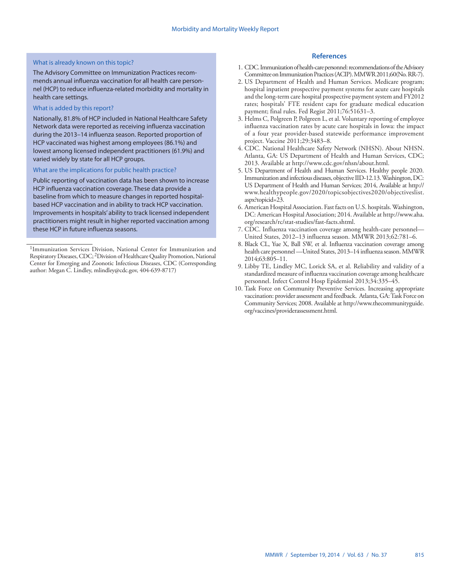#### What is already known on this topic?

The Advisory Committee on Immunization Practices recommends annual influenza vaccination for all health care personnel (HCP) to reduce influenza-related morbidity and mortality in health care settings.

#### What is added by this report?

Nationally, 81.8% of HCP included in National Healthcare Safety Network data were reported as receiving influenza vaccination during the 2013–14 influenza season. Reported proportion of HCP vaccinated was highest among employees (86.1%) and lowest among licensed independent practitioners (61.9%) and varied widely by state for all HCP groups.

#### What are the implications for public health practice?

Public reporting of vaccination data has been shown to increase HCP influenza vaccination coverage. These data provide a baseline from which to measure changes in reported hospitalbased HCP vaccination and in ability to track HCP vaccination. Improvements in hospitals' ability to track licensed independent practitioners might result in higher reported vaccination among these HCP in future influenza seasons.

#### **References**

- 1. CDC. Immunization of health-care personnel: recommendations of the Advisory Committee on Immunization Practices (ACIP). MMWR 2011;60(No. RR-7).
- 2. US Department of Health and Human Services. Medicare program; hospital inpatient prospective payment systems for acute care hospitals and the long-term care hospital prospective payment system and FY2012 rates; hospitals' FTE resident caps for graduate medical education payment; final rules. Fed Regist 2011;76:51631–3.
- 3. Helms C, Polgreen P, Polgreen L, et al. Voluntary reporting of employee influenza vaccination rates by acute care hospitals in Iowa: the impact of a four year provider-based statewide performance improvement project. Vaccine 2011;29:3483–8.
- 4. CDC. National Healthcare Safety Network (NHSN). About NHSN. Atlanta, GA: US Department of Health and Human Services, CDC; 2013. Available at [http://www.cdc.gov/nhsn/about.html.](http://www.cdc.gov/nhsn/about.html)
- 5. US Department of Health and Human Services. Healthy people 2020. Immunization and infectious diseases, objective IID-12.13. Washington, DC: US Department of Health and Human Services; 2014, Available at [http://](http://www.healthypeople.gov/2020/topicsobjectives2020/objectiveslist.aspx?topicid=23) [www.healthypeople.gov/2020/topicsobjectives2020/objectiveslist.](http://www.healthypeople.gov/2020/topicsobjectives2020/objectiveslist.aspx?topicid=23) [aspx?topicid=23.](http://www.healthypeople.gov/2020/topicsobjectives2020/objectiveslist.aspx?topicid=23)
- 6. American Hospital Association. Fast facts on U.S. hospitals. Washington, DC: American Hospital Association; 2014. Available at [http://www.aha.](http://www.aha.org/research/rc/stat-studies/fast-facts.shtml) [org/research/rc/stat-studies/fast-facts.shtml](http://www.aha.org/research/rc/stat-studies/fast-facts.shtml).
- 7. CDC. Influenza vaccination coverage among health-care personnel— United States, 2012–13 influenza season. MMWR 2013;62:781–6.
- 8. Black CL, Yue X, Ball SW, et al. Influenza vaccination coverage among health care personnel —United States, 2013–14 influenza season. MMWR 2014;63:805–11.
- 9. Libby TE, Lindley MC, Lorick SA, et al. Reliability and validity of a standardized measure of influenza vaccination coverage among healthcare personnel. Infect Control Hosp Epidemiol 2013;34:335–45.
- 10. Task Force on Community Preventive Services. Increasing appropriate vaccination: provider assessment and feedback. Atlanta, GA: Task Force on Community Services; 2008. Available at [http://www.thecommunityguide.](http://www.thecommunityguide.org/vaccines/providerassessment.html) [org/vaccines/providerassessment.html](http://www.thecommunityguide.org/vaccines/providerassessment.html).

<sup>1</sup>Immunization Services Division, National Center for Immunization and Respiratory Diseases, CDC; 2Division of Healthcare Quality Promotion, National Center for Emerging and Zoonotic Infectious Diseases, CDC (Corresponding author: Megan C. Lindley, [mlindley@cdc.gov,](mailto:mlindley@cdc.gov) 404-639-8717)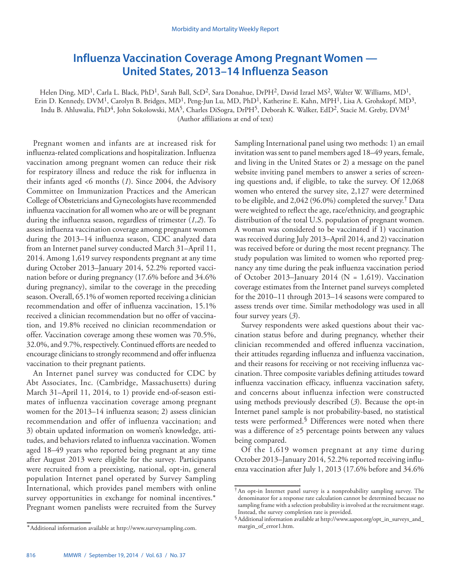## <span id="page-11-0"></span>**Influenza Vaccination Coverage Among Pregnant Women — United States, 2013–14 Influenza Season**

Helen Ding, MD1, Carla L. Black, PhD1, Sarah Ball, ScD2, Sara Donahue, DrPH2, David Izrael MS2, Walter W. Williams, MD1, Erin D. Kennedy, DVM<sup>1</sup>, Carolyn B. Bridges, MD<sup>1</sup>, Peng-Jun Lu, MD, PhD<sup>1</sup>, Katherine E. Kahn, MPH<sup>1</sup>, Lisa A. Grohskopf, MD<sup>3</sup>, Indu B. Ahluwalia, PhD<sup>4</sup>, John Sokolowski, MA<sup>5</sup>, Charles DiSogra, DrPH<sup>5</sup>, Deborah K. Walker, EdD<sup>2</sup>, Stacie M. Greby, DVM<sup>1</sup> (Author affiliations at end of text)

Pregnant women and infants are at increased risk for influenza-related complications and hospitalization. Influenza vaccination among pregnant women can reduce their risk for respiratory illness and reduce the risk for influenza in their infants aged <6 months (*1*). Since 2004, the Advisory Committee on Immunization Practices and the American College of Obstetricians and Gynecologists have recommended influenza vaccination for all women who are or will be pregnant during the influenza season, regardless of trimester (*1,2*). To assess influenza vaccination coverage among pregnant women during the 2013–14 influenza season, CDC analyzed data from an Internet panel survey conducted March 31–April 11, 2014. Among 1,619 survey respondents pregnant at any time during October 2013–January 2014, 52.2% reported vaccination before or during pregnancy (17.6% before and 34.6% during pregnancy), similar to the coverage in the preceding season. Overall, 65.1% of women reported receiving a clinician recommendation and offer of influenza vaccination, 15.1% received a clinician recommendation but no offer of vaccination, and 19.8% received no clinician recommendation or offer. Vaccination coverage among these women was 70.5%, 32.0%, and 9.7%, respectively. Continued efforts are needed to encourage clinicians to strongly recommend and offer influenza vaccination to their pregnant patients.

An Internet panel survey was conducted for CDC by Abt Associates, Inc. (Cambridge, Massachusetts) during March 31–April 11, 2014, to 1) provide end-of-season estimates of influenza vaccination coverage among pregnant women for the 2013–14 influenza season; 2) assess clinician recommendation and offer of influenza vaccination; and 3) obtain updated information on women's knowledge, attitudes, and behaviors related to influenza vaccination. Women aged 18–49 years who reported being pregnant at any time after August 2013 were eligible for the survey. Participants were recruited from a preexisting, national, opt-in, general population Internet panel operated by Survey Sampling International, which provides panel members with online survey opportunities in exchange for nominal incentives.\* Pregnant women panelists were recruited from the Survey

Sampling International panel using two methods: 1) an email invitation was sent to panel members aged 18–49 years, female, and living in the United States or 2) a message on the panel website inviting panel members to answer a series of screening questions and, if eligible, to take the survey. Of 12,068 women who entered the survey site, 2,127 were determined to be eligible, and 2,042 (96.0%) completed the survey.<sup>†</sup> Data were weighted to reflect the age, race/ethnicity, and geographic distribution of the total U.S. population of pregnant women. A woman was considered to be vaccinated if 1) vaccination was received during July 2013–April 2014, and 2) vaccination was received before or during the most recent pregnancy. The study population was limited to women who reported pregnancy any time during the peak influenza vaccination period of October 2013–January 2014 ( $N = 1,619$ ). Vaccination coverage estimates from the Internet panel surveys completed for the 2010–11 through 2013–14 seasons were compared to assess trends over time. Similar methodology was used in all four survey years (*3*).

Survey respondents were asked questions about their vaccination status before and during pregnancy, whether their clinician recommended and offered influenza vaccination, their attitudes regarding influenza and influenza vaccination, and their reasons for receiving or not receiving influenza vaccination. Three composite variables defining attitudes toward influenza vaccination efficacy, influenza vaccination safety, and concerns about influenza infection were constructed using methods previously described (*3*). Because the opt-in Internet panel sample is not probability-based, no statistical tests were performed.§ Differences were noted when there was a difference of ≥5 percentage points between any values being compared.

Of the 1,619 women pregnant at any time during October 2013–January 2014, 52.2% reported receiving influenza vaccination after July 1, 2013 (17.6% before and 34.6%

<sup>\*</sup>Additional information available at [http://www.surveysampling.com.](http://www.surveysampling.com)

<sup>†</sup>An opt-in Internet panel survey is a nonprobability sampling survey. The denominator for a response rate calculation cannot be determined because no sampling frame with a selection probability is involved at the recruitment stage. Instead, the survey completion rate is provided.

<sup>§</sup>Additional information available at [http://www.aapor.org/opt\\_in\\_surveys\\_and\\_](http://www.aapor.org/opt_in_surveys_and_margin_of_error1.htm) [margin\\_of\\_error1.htm.](http://www.aapor.org/opt_in_surveys_and_margin_of_error1.htm)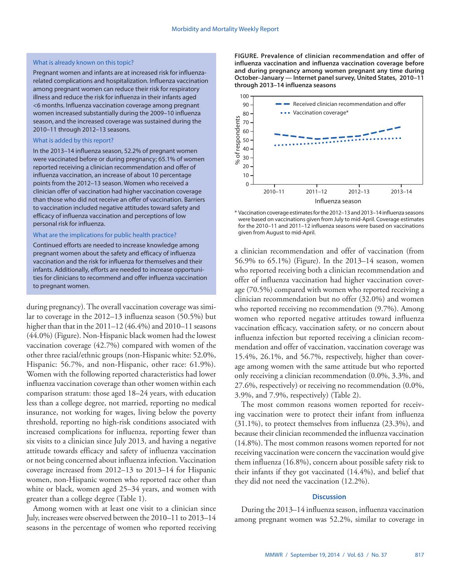#### What is already known on this topic?

Pregnant women and infants are at increased risk for influenzarelated complications and hospitalization. Influenza vaccination among pregnant women can reduce their risk for respiratory illness and reduce the risk for influenza in their infants aged <6 months. Influenza vaccination coverage among pregnant women increased substantially during the 2009–10 influenza season, and the increased coverage was sustained during the 2010–11 through 2012–13 seasons.

#### What is added by this report?

In the 2013–14 influenza season, 52.2% of pregnant women were vaccinated before or during pregnancy; 65.1% of women reported receiving a clinician recommendation and offer of influenza vaccination, an increase of about 10 percentage points from the 2012–13 season. Women who received a clinician offer of vaccination had higher vaccination coverage than those who did not receive an offer of vaccination. Barriers to vaccination included negative attitudes toward safety and efficacy of influenza vaccination and perceptions of low personal risk for influenza.

#### What are the implications for public health practice?

Continued efforts are needed to increase knowledge among pregnant women about the safety and efficacy of influenza vaccination and the risk for influenza for themselves and their infants. Additionally, efforts are needed to increase opportunities for clinicians to recommend and offer influenza vaccination to pregnant women.

during pregnancy). The overall vaccination coverage was similar to coverage in the 2012–13 influenza season (50.5%) but higher than that in the 2011–12 (46.4%) and 2010–11 seasons (44.0%) (Figure). Non-Hispanic black women had the lowest vaccination coverage (42.7%) compared with women of the other three racial/ethnic groups (non-Hispanic white: 52.0%, Hispanic: 56.7%, and non-Hispanic, other race: 61.9%). Women with the following reported characteristics had lower influenza vaccination coverage than other women within each comparison stratum: those aged 18–24 years, with education less than a college degree, not married, reporting no medical insurance, not working for wages, living below the poverty threshold, reporting no high-risk conditions associated with increased complications for influenza, reporting fewer than six visits to a clinician since July 2013, and having a negative attitude towards efficacy and safety of influenza vaccination or not being concerned about influenza infection. Vaccination coverage increased from 2012–13 to 2013–14 for Hispanic women, non-Hispanic women who reported race other than white or black, women aged 25–34 years, and women with greater than a college degree (Table 1).

Among women with at least one visit to a clinician since July, increases were observed between the 2010–11 to 2013–14 seasons in the percentage of women who reported receiving **FIGURE. Prevalence of clinician recommendation and offer of influenza vaccination and influenza vaccination coverage before and during pregnancy among women pregnant any time during October–January — Internet panel survey, United States, 2010–11 through 2013–14 influenza seasons** 



\* Vaccination coverage estimates for the 2012–13 and 2013–14 influenza seasons were based on vaccinations given from July to mid-April. Coverage estimates for the 2010–11 and 2011–12 influenza seasons were based on vaccinations given from August to mid-April.

a clinician recommendation and offer of vaccination (from 56.9% to 65.1%) (Figure). In the 2013–14 season, women who reported receiving both a clinician recommendation and offer of influenza vaccination had higher vaccination coverage (70.5%) compared with women who reported receiving a clinician recommendation but no offer (32.0%) and women who reported receiving no recommendation  $(9.7\%)$ . Among women who reported negative attitudes toward influenza vaccination efficacy, vaccination safety, or no concern about influenza infection but reported receiving a clinician recommendation and offer of vaccination, vaccination coverage was 15.4%, 26.1%, and 56.7%, respectively, higher than coverage among women with the same attitude but who reported only receiving a clinician recommendation (0.0%, 3.3%, and 27.6%, respectively) or receiving no recommendation (0.0%, 3.9%, and 7.9%, respectively) (Table 2).

The most common reasons women reported for receiving vaccination were to protect their infant from influenza (31.1%), to protect themselves from influenza (23.3%), and because their clinician recommended the influenza vaccination (14.8%). The most common reasons women reported for not receiving vaccination were concern the vaccination would give them influenza (16.8%), concern about possible safety risk to their infants if they got vaccinated (14.4%), and belief that they did not need the vaccination (12.2%).

#### **Discussion**

During the 2013–14 influenza season, influenza vaccination among pregnant women was 52.2%, similar to coverage in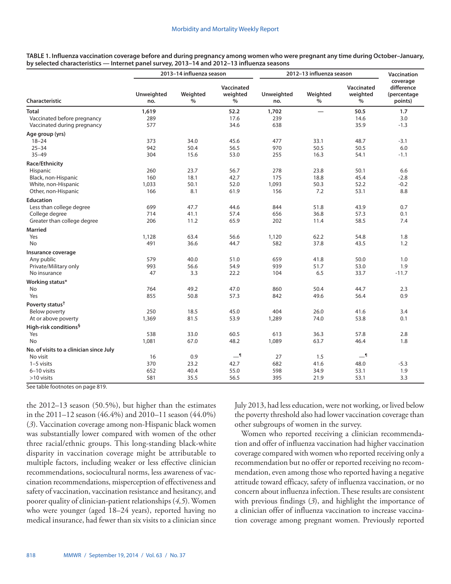| TABLE 1. Influenza vaccination coverage before and during pregnancy among women who were pregnant any time during October–January, |
|------------------------------------------------------------------------------------------------------------------------------------|
| by selected characteristics — Internet panel survey, 2013–14 and 2012–13 influenza seasons                                         |

|                                         |                   | 2013-14 influenza season |                             | 2012-13 influenza season | <b>Vaccination</b> |                                |                                                  |
|-----------------------------------------|-------------------|--------------------------|-----------------------------|--------------------------|--------------------|--------------------------------|--------------------------------------------------|
| Characteristic                          | Unweighted<br>no. | Weighted<br>%            | Vaccinated<br>weighted<br>% | Unweighted<br>no.        | Weighted<br>$\%$   | Vaccinated<br>weighted<br>$\%$ | coverage<br>difference<br>(percentage<br>points) |
| Total                                   | 1,619             |                          | 52.2                        | 1,702                    |                    | 50.5                           | 1.7                                              |
| Vaccinated before pregnancy             | 289               |                          | 17.6                        | 239                      |                    | 14.6                           | 3.0                                              |
| Vaccinated during pregnancy             | 577               |                          | 34.6                        | 638                      |                    | 35.9                           | $-1.3$                                           |
| Age group (yrs)                         |                   |                          |                             |                          |                    |                                |                                                  |
| $18 - 24$                               | 373               | 34.0                     | 45.6                        | 477                      | 33.1               | 48.7                           | $-3.1$                                           |
| $25 - 34$                               | 942               | 50.4                     | 56.5                        | 970                      | 50.5               | 50.5                           | 6.0                                              |
| $35 - 49$                               | 304               | 15.6                     | 53.0                        | 255                      | 16.3               | 54.1                           | $-1.1$                                           |
| Race/Ethnicity                          |                   |                          |                             |                          |                    |                                |                                                  |
| Hispanic                                | 260               | 23.7                     | 56.7                        | 278                      | 23.8               | 50.1                           | 6.6                                              |
| Black, non-Hispanic                     | 160               | 18.1                     | 42.7                        | 175                      | 18.8               | 45.4                           | $-2.8$                                           |
| White, non-Hispanic                     | 1,033             | 50.1                     | 52.0                        | 1,093                    | 50.3               | 52.2                           | $-0.2$                                           |
| Other, non-Hispanic                     | 166               | 8.1                      | 61.9                        | 156                      | 7.2                | 53.1                           | 8.8                                              |
| <b>Education</b>                        |                   |                          |                             |                          |                    |                                |                                                  |
| Less than college degree                | 699               | 47.7                     | 44.6                        | 844                      | 51.8               | 43.9                           | 0.7                                              |
| College degree                          | 714               | 41.1                     | 57.4                        | 656                      | 36.8               | 57.3                           | 0.1                                              |
| Greater than college degree             | 206               | 11.2                     | 65.9                        | 202                      | 11.4               | 58.5                           | 7.4                                              |
| <b>Married</b>                          |                   |                          |                             |                          |                    |                                |                                                  |
| Yes                                     | 1,128             | 63.4                     | 56.6                        | 1,120                    | 62.2               | 54.8                           | 1.8                                              |
| <b>No</b>                               | 491               | 36.6                     | 44.7                        | 582                      | 37.8               | 43.5                           | 1.2                                              |
| Insurance coverage                      |                   |                          |                             |                          |                    |                                |                                                  |
| Any public                              | 579               | 40.0                     | 51.0                        | 659                      | 41.8               | 50.0                           | 1.0                                              |
| Private/Military only                   | 993               | 56.6                     | 54.9                        | 939                      | 51.7               | 53.0                           | 1.9                                              |
| No insurance                            | 47                | 3.3                      | 22.2                        | 104                      | 6.5                | 33.7                           | $-11.7$                                          |
| Working status*                         |                   |                          |                             |                          |                    |                                |                                                  |
| No                                      | 764               | 49.2                     | 47.0                        | 860                      | 50.4               | 44.7                           | 2.3                                              |
| Yes                                     | 855               | 50.8                     | 57.3                        | 842                      | 49.6               | 56.4                           | 0.9                                              |
| Poverty status <sup>†</sup>             |                   |                          |                             |                          |                    |                                |                                                  |
| Below poverty                           | 250               | 18.5                     | 45.0                        | 404                      | 26.0               | 41.6                           | 3.4                                              |
| At or above poverty                     | 1,369             | 81.5                     | 53.9                        | 1,289                    | 74.0               | 53.8                           | 0.1                                              |
| High-risk conditions <sup>§</sup>       |                   |                          |                             |                          |                    |                                |                                                  |
| Yes                                     | 538               | 33.0                     | 60.5                        | 613                      | 36.3               | 57.8                           | 2.8                                              |
| No                                      | 1,081             | 67.0                     | 48.2                        | 1,089                    | 63.7               | 46.4                           | 1.8                                              |
| No. of visits to a clinician since July |                   |                          |                             |                          |                    |                                |                                                  |
| No visit                                | 16                | 0.9                      | $-1$                        | 27                       | 1.5                | $-1$                           |                                                  |
| $1-5$ visits                            | 370               | 23.2                     | 42.7                        | 682                      | 41.6               | 48.0                           | $-5.3$                                           |
| 6-10 visits                             | 652               | 40.4                     | 55.0                        | 598                      | 34.9               | 53.1                           | 1.9                                              |
| $>10$ visits                            | 581               | 35.5                     | 56.5                        | 395                      | 21.9               | 53.1                           | 3.3                                              |
|                                         |                   |                          |                             |                          |                    |                                |                                                  |

See table footnotes on page 819.

the 2012–13 season (50.5%), but higher than the estimates in the 2011–12 season (46.4%) and 2010–11 season (44.0%) (*3*). Vaccination coverage among non-Hispanic black women was substantially lower compared with women of the other three racial/ethnic groups. This long-standing black-white disparity in vaccination coverage might be attributable to multiple factors, including weaker or less effective clinician recommendations, sociocultural norms, less awareness of vaccination recommendations, misperception of effectiveness and safety of vaccination, vaccination resistance and hesitancy, and poorer quality of clinician-patient relationships (*4,5*). Women who were younger (aged 18–24 years), reported having no medical insurance, had fewer than six visits to a clinician since July 2013, had less education, were not working, or lived below the poverty threshold also had lower vaccination coverage than other subgroups of women in the survey.

Women who reported receiving a clinician recommendation and offer of influenza vaccination had higher vaccination coverage compared with women who reported receiving only a recommendation but no offer or reported receiving no recommendation, even among those who reported having a negative attitude toward efficacy, safety of influenza vaccination, or no concern about influenza infection. These results are consistent with previous findings (*3*), and highlight the importance of a clinician offer of influenza vaccination to increase vaccination coverage among pregnant women. Previously reported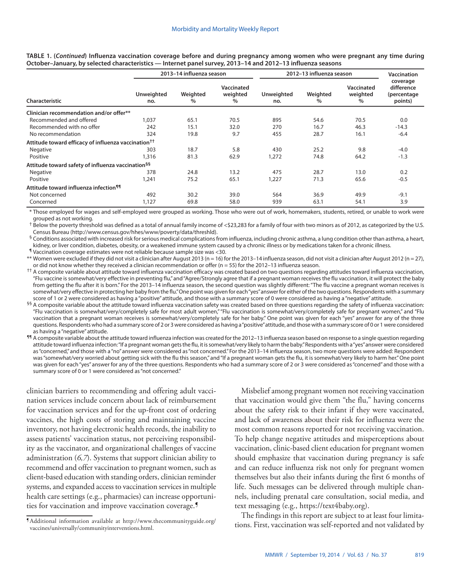|                                                                 |                          | 2013-14 influenza season |                             | 2012-13 influenza season | <b>Vaccination</b> |                             |                                                  |
|-----------------------------------------------------------------|--------------------------|--------------------------|-----------------------------|--------------------------|--------------------|-----------------------------|--------------------------------------------------|
| Characteristic                                                  | <b>Unweighted</b><br>no. | Weighted<br>$\%$         | Vaccinated<br>weighted<br>% | Unweighted<br>no.        | Weighted<br>$\%$   | Vaccinated<br>weighted<br>% | coverage<br>difference<br>(percentage<br>points) |
| Clinician recommendation and/or offer**                         |                          |                          |                             |                          |                    |                             |                                                  |
| Recommended and offered                                         | 1,037                    | 65.1                     | 70.5                        | 895                      | 54.6               | 70.5                        | 0.0                                              |
| Recommended with no offer                                       | 242                      | 15.1                     | 32.0                        | 270                      | 16.7               | 46.3                        | $-14.3$                                          |
| No recommendation                                               | 324                      | 19.8                     | 9.7                         | 455                      | 28.7               | 16.1                        | $-6.4$                                           |
| Attitude toward efficacy of influenza vaccination <sup>††</sup> |                          |                          |                             |                          |                    |                             |                                                  |
| Negative                                                        | 303                      | 18.7                     | 5.8                         | 430                      | 25.2               | 9.8                         | $-4.0$                                           |
| Positive                                                        | 1,316                    | 81.3                     | 62.9                        | 1,272                    | 74.8               | 64.2                        | $-1.3$                                           |
| Attitude toward safety of influenza vaccination <sup>§§</sup>   |                          |                          |                             |                          |                    |                             |                                                  |
| Negative                                                        | 378                      | 24.8                     | 13.2                        | 475                      | 28.7               | 13.0                        | 0.2                                              |
| Positive                                                        | 1,241                    | 75.2                     | 65.1                        | 1,227                    | 71.3               | 65.6                        | $-0.5$                                           |
| Attitude toward influenza infection <sup>¶¶</sup>               |                          |                          |                             |                          |                    |                             |                                                  |
| Not concerned                                                   | 492                      | 30.2                     | 39.0                        | 564                      | 36.9               | 49.9                        | $-9.1$                                           |
| Concerned                                                       | 1,127                    | 69.8                     | 58.0                        | 939                      | 63.1               | 54.1                        | 3.9                                              |

**TABLE 1. (***Continued***) Influenza vaccination coverage before and during pregnancy among women who were pregnant any time during October–January, by selected characteristics — Internet panel survey, 2013–14 and 2012–13 influenza seasons** 

\* Those employed for wages and self-employed were grouped as working. Those who were out of work, homemakers, students, retired, or unable to work were grouped as not working.

† Below the poverty threshold was defined as a total of annual family income of <\$23,283 for a family of four with two minors as of 2012, as categorized by the U.S. Census Bureau ([http://www.census.gov/hhes/www/poverty/data/threshld\)](http://www.census.gov/hhes/www/poverty/data/threshld).

§ Conditions associated with increased risk for serious medical complications from influenza, including chronic asthma, a lung condition other than asthma, a heart, kidney, or liver condition, diabetes, obesity, or a weakened immune system caused by a chronic illness or by medications taken for a chronic illness.

¶ Vaccination coverage estimates were not reliable because sample size was <30.

\*\* Women were excluded if they did not visit a clinician after August 2013 (n = 16) for the 2013–14 influenza season, did not visit a clinician after August 2012 (n = 27), or did not know whether they received a clinician recommendation or offer ( $n = 55$ ) for the 2012-13 influenza season.

<sup>††</sup> A composite variable about attitude toward influenza vaccination efficacy was created based on two questions regarding attitudes toward influenza vaccination, "Flu vaccine is somewhat/very effective in preventing flu," and "Agree/Strongly agree that if a pregnant woman receives the flu vaccination, it will protect the baby from getting the flu after it is born." For the 2013-14 influenza season, the second question was slightly different: "The flu vaccine a pregnant woman receives is somewhat/very effective in protecting her baby from the flu." One point was given for each "yes" answer for either of the two questions. Respondents with a summary score of 1 or 2 were considered as having a "positive" attitude, and those with a summary score of 0 were considered as having a "negative" attitude.

§§ A composite variable about the attitude toward influenza vaccination safety was created based on three questions regarding the safety of influenza vaccination: "Flu vaccination is somewhat/very/completely safe for most adult women," "Flu vaccination is somewhat/very/completely safe for pregnant women," and "Flu vaccination that a pregnant woman receives is somewhat/very/completely safe for her baby." One point was given for each "yes" answer for any of the three questions. Respondents who had a summary score of 2 or 3 were considered as having a "positive" attitude, and those with a summary score of 0 or 1 were considered as having a "negative" attitude.

¶¶ A composite variable about the attitude toward influenza infection was created for the 2012–13 influenza season based on response to a single question regarding attitude toward influenza infection: "If a pregnant woman gets the flu, it is somewhat/very likely to harm the baby." Respondents with a "yes" answer were considered as "concerned," and those with a "no" answer were considered as "not concerned." For the 2013-14 influenza season, two more questions were added: Respondent was "somewhat/very worried about getting sick with the flu this season," and "If a pregnant woman gets the flu, it is somewhat/very likely to harm her." One point was given for each "yes" answer for any of the three questions. Respondents who had a summary score of 2 or 3 were considered as "concerned" and those with a summary score of 0 or 1 were considered as "not concerned."

clinician barriers to recommending and offering adult vaccination services include concern about lack of reimbursement for vaccination services and for the up-front cost of ordering vaccines, the high costs of storing and maintaining vaccine inventory, not having electronic health records, the inability to assess patients' vaccination status, not perceiving responsibility as the vaccinator, and organizational challenges of vaccine administration (*6,7*). Systems that support clinician ability to recommend and offer vaccination to pregnant women, such as client-based education with standing orders, clinician reminder systems, and expanded access to vaccination services in multiple health care settings (e.g., pharmacies) can increase opportunities for vaccination and improve vaccination coverage.¶

Misbelief among pregnant women not receiving vaccination that vaccination would give them "the flu," having concerns about the safety risk to their infant if they were vaccinated, and lack of awareness about their risk for influenza were the most common reasons reported for not receiving vaccination. To help change negative attitudes and misperceptions about vaccination, clinic-based client education for pregnant women should emphasize that vaccination during pregnancy is safe and can reduce influenza risk not only for pregnant women themselves but also their infants during the first 6 months of life. Such messages can be delivered through multiple channels, including prenatal care consultation, social media, and text messaging (e.g., <https://text4baby.org>).

The findings in this report are subject to at least four limitations. First, vaccination was self-reported and not validated by ¶Additional information available at [http://www.thecommunityguide.org/](http://www.thecommunityguide.org/vaccines/universally/communityinterventions.html)

[vaccines/universally/communityinterventions.html.](http://www.thecommunityguide.org/vaccines/universally/communityinterventions.html)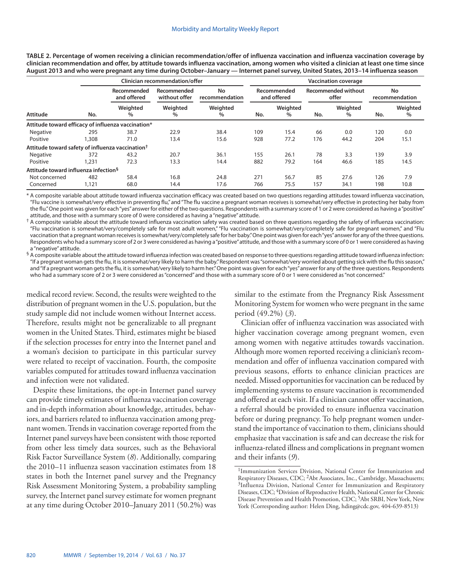|                                                              |       |                            | <b>Clinician recommendation/offer</b> | <b>Vaccination coverage</b> |     |                            |     |                                     |     |                      |  |
|--------------------------------------------------------------|-------|----------------------------|---------------------------------------|-----------------------------|-----|----------------------------|-----|-------------------------------------|-----|----------------------|--|
|                                                              | No.   | Recommended<br>and offered | Recommended<br>without offer          | No<br>recommendation        |     | Recommended<br>and offered |     | <b>Recommended without</b><br>offer |     | No<br>recommendation |  |
| Attitude                                                     |       | Weighted<br>$\%$           | Weighted<br>$\%$                      | Weighted<br>$\%$            | No. | Weighted<br>$\%$           | No. | Weighted<br>$\%$                    | No. | Weighted<br>$\%$     |  |
| Attitude toward efficacy of influenza vaccination*           |       |                            |                                       |                             |     |                            |     |                                     |     |                      |  |
| Negative                                                     | 295   | 38.7                       | 22.9                                  | 38.4                        | 109 | 15.4                       | 66  | 0.0                                 | 120 | 0.0                  |  |
| Positive                                                     | 1,308 | 71.0                       | 13.4                                  | 15.6                        | 928 | 77.2                       | 176 | 44.2                                | 204 | 15.1                 |  |
| Attitude toward safety of influenza vaccination <sup>†</sup> |       |                            |                                       |                             |     |                            |     |                                     |     |                      |  |
| Negative                                                     | 372   | 43.2                       | 20.7                                  | 36.1                        | 155 | 26.1                       | 78  | 3.3                                 | 139 | 3.9                  |  |
| Positive                                                     | 1,231 | 72.3                       | 13.3                                  | 14.4                        | 882 | 79.2                       | 164 | 46.6                                | 185 | 14.5                 |  |
| Attitude toward influenza infection <sup>§</sup>             |       |                            |                                       |                             |     |                            |     |                                     |     |                      |  |
| Not concerned                                                | 482   | 58.4                       | 16.8                                  | 24.8                        | 271 | 56.7                       | 85  | 27.6                                | 126 | 7.9                  |  |
| Concerned                                                    | 1,121 | 68.0                       | 14.4                                  | 17.6                        | 766 | 75.5                       | 157 | 34.1                                | 198 | 10.8                 |  |

**TABLE 2. Percentage of women receiving a clinician recommendation/offer of influenza vaccination and influenza vaccination coverage by clinician recommendation and offer, by attitude towards influenza vaccination, among women who visited a clinician at least one time since August 2013 and who were pregnant any time during October–January — Internet panel survey, United States, 2013–14 influenza season**

\* A composite variable about attitude toward influenza vaccination efficacy was created based on two questions regarding attitudes toward influenza vaccination, "Flu vaccine is somewhat/very effective in preventing flu," and "The flu vaccine a pregnant woman receives is somewhat/very effective in protecting her baby from the flu." One point was given for each "yes" answer for either of the two questions. Respondents with a summary score of 1 or 2 were considered as having a "positive" attitude, and those with a summary score of 0 were considered as having a "negative" attitude.

 $^{\dagger}$  A composite variable about the attitude toward influenza vaccination safety was created based on three questions regarding the safety of influenza vaccination: "Flu vaccination is somewhat/very/completely safe for most adult women," "Flu vaccination is somewhat/very/completely safe for pregnant women," and "Flu vaccination that a pregnant woman receives is somewhat/very/completely safe for her baby." One point was given for each "yes" answer for any of the three questions. Respondents who had a summary score of 2 or 3 were considered as having a "positive" attitude, and those with a summary score of 0 or 1 were considered as having a "negative" attitude.

 $§$  A composite variable about the attitude toward influenza infection was created based on response to three questions regarding attitude toward influenza infection: "If a pregnant woman gets the flu, it is somewhat/very likely to harm the baby." Respondent was "somewhat/very worried about getting sick with the flu this season," and "If a pregnant woman gets the flu, it is somewhat/very likely to harm her." One point was given for each "yes" answer for any of the three questions. Respondents who had a summary score of 2 or 3 were considered as "concerned" and those with a summary score of 0 or 1 were considered as "not concerned."

medical record review. Second, the results were weighted to the distribution of pregnant women in the U.S. population, but the study sample did not include women without Internet access. Therefore, results might not be generalizable to all pregnant women in the United States. Third, estimates might be biased if the selection processes for entry into the Internet panel and a woman's decision to participate in this particular survey were related to receipt of vaccination. Fourth, the composite variables computed for attitudes toward influenza vaccination and infection were not validated.

Despite these limitations, the opt-in Internet panel survey can provide timely estimates of influenza vaccination coverage and in-depth information about knowledge, attitudes, behaviors, and barriers related to influenza vaccination among pregnant women. Trends in vaccination coverage reported from the Internet panel surveys have been consistent with those reported from other less timely data sources, such as the Behavioral Risk Factor Surveillance System (*8*). Additionally, comparing the 2010–11 influenza season vaccination estimates from 18 states in both the Internet panel survey and the Pregnancy Risk Assessment Monitoring System, a probability sampling survey, the Internet panel survey estimate for women pregnant at any time during October 2010–January 2011 (50.2%) was

similar to the estimate from the Pregnancy Risk Assessment Monitoring System for women who were pregnant in the same period (49.2%) (*3*).

Clinician offer of influenza vaccination was associated with higher vaccination coverage among pregnant women, even among women with negative attitudes towards vaccination. Although more women reported receiving a clinician's recommendation and offer of influenza vaccination compared with previous seasons, efforts to enhance clinician practices are needed. Missed opportunities for vaccination can be reduced by implementing systems to ensure vaccination is recommended and offered at each visit. If a clinician cannot offer vaccination, a referral should be provided to ensure influenza vaccination before or during pregnancy. To help pregnant women understand the importance of vaccination to them, clinicians should emphasize that vaccination is safe and can decrease the risk for influenza-related illness and complications in pregnant women and their infants (*9*).

<sup>&</sup>lt;sup>1</sup>Immunization Services Division, National Center for Immunization and Respiratory Diseases, CDC; <sup>2</sup>Abt Associates, Inc., Cambridge, Massachusetts; <sup>3</sup>Influenza Division, National Center for Immunization and Respiratory Diseases, CDC; 4Division of Reproductive Health, National Center for Chronic Disease Prevention and Health Promotion, CDC; 5Abt SRBI, New York, New York (Corresponding author: Helen Ding, [hding@cdc.gov,](mailto:hding@cdc.gov) 404-639-8513)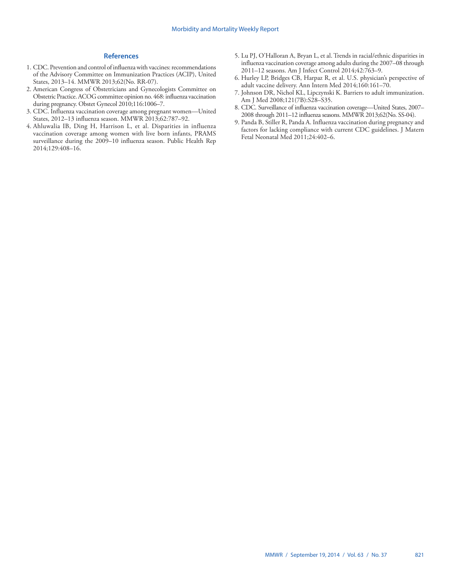#### **References**

- 1. CDC. Prevention and control of influenza with vaccines: recommendations of the Advisory Committee on Immunization Practices (ACIP), United States, 2013–14. MMWR 2013;62(No. RR-07).
- 2. American Congress of Obstetricians and Gynecologists Committee on Obstetric Practice. ACOG committee opinion no. 468: influenza vaccination during pregnancy. Obstet Gynecol 2010;116:1006–7.
- 3. CDC. Influenza vaccination coverage among pregnant women—United States, 2012–13 influenza season. MMWR 2013;62:787–92.
- 4. Ahluwalia IB, Ding H, Harrison L, et al. Disparities in influenza vaccination coverage among women with live born infants, PRAMS surveillance during the 2009–10 influenza season. Public Health Rep 2014;129:408–16.
- 5. Lu PJ, O'Halloran A, Bryan L, et al. Trends in racial/ethnic disparities in influenza vaccination coverage among adults during the 2007–08 through 2011–12 seasons. Am J Infect Control 2014;42:763–9.
- 6. Hurley LP, Bridges CB, Harpaz R, et al. U.S. physician's perspective of adult vaccine delivery. Ann Intern Med 2014;160:161–70.
- 7. Johnson DR, Nichol KL, Lipczynski K. Barriers to adult immunization. Am J Med 2008;121(7B):S28–S35.
- 8. CDC. Surveillance of influenza vaccination coverage—United States, 2007– 2008 through 2011–12 influenza seasons. MMWR 2013;62(No. SS-04).
- 9. Panda B, Stiller R, Panda A. Influenza vaccination during pregnancy and factors for lacking compliance with current CDC guidelines. J Matern Fetal Neonatal Med 2011;24:402–6.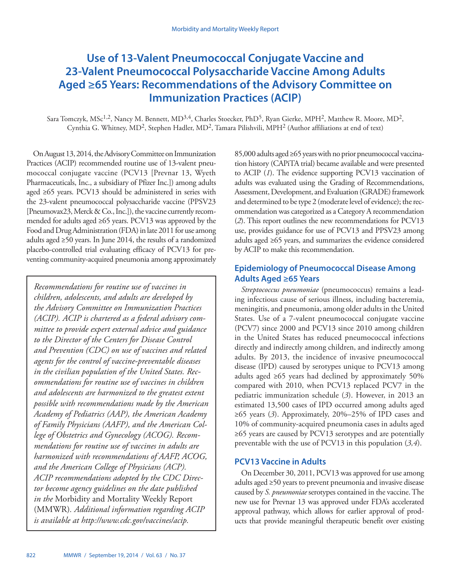# <span id="page-17-0"></span>**Use of 13-Valent Pneumococcal Conjugate Vaccine and 23-Valent Pneumococcal Polysaccharide Vaccine Among Adults Aged ≥65 Years: Recommendations of the Advisory Committee on Immunization Practices (ACIP)**

Sara Tomczyk, MSc<sup>1,2</sup>, Nancy M. Bennett, MD<sup>3,4</sup>, Charles Stoecker, PhD<sup>5</sup>, Ryan Gierke, MPH<sup>2</sup>, Matthew R. Moore, MD<sup>2</sup>, Cynthia G. Whitney, MD2, Stephen Hadler, MD2, Tamara Pilishvili, MPH2 (Author affiliations at end of text)

On August 13, 2014, the Advisory Committee on Immunization Practices (ACIP) recommended routine use of 13-valent pneumococcal conjugate vaccine (PCV13 [Prevnar 13, Wyeth Pharmaceuticals, Inc., a subsidiary of Pfizer Inc.]) among adults aged ≥65 years. PCV13 should be administered in series with the 23-valent pneumococcal polysaccharide vaccine (PPSV23 [Pneumovax23, Merck & Co., Inc.]), the vaccine currently recommended for adults aged ≥65 years. PCV13 was approved by the Food and Drug Administration (FDA) in late 2011 for use among adults aged ≥50 years. In June 2014, the results of a randomized placebo-controlled trial evaluating efficacy of PCV13 for preventing community-acquired pneumonia among approximately

*Recommendations for routine use of vaccines in children, adolescents, and adults are developed by the Advisory Committee on Immunization Practices (ACIP). ACIP is chartered as a federal advisory committee to provide expert external advice and guidance to the Director of the Centers for Disease Control and Prevention (CDC) on use of vaccines and related agents for the control of vaccine-preventable diseases in the civilian population of the United States. Recommendations for routine use of vaccines in children and adolescents are harmonized to the greatest extent possible with recommendations made by the American Academy of Pediatrics (AAP), the American Academy of Family Physicians (AAFP), and the American College of Obstetrics and Gynecology (ACOG). Recommendations for routine use of vaccines in adults are harmonized with recommendations of AAFP, ACOG, and the American College of Physicians (ACP). ACIP recommendations adopted by the CDC Director become agency guidelines on the date published in the* Morbidity and Mortality Weekly Report (MMWR)*. Additional information regarding ACIP is available at<http://www.cdc.gov/vaccines/acip>.* 

85,000 adults aged ≥65 years with no prior pneumococcal vaccination history (CAPiTA trial) became available and were presented to ACIP (*1*). The evidence supporting PCV13 vaccination of adults was evaluated using the Grading of Recommendations, Assessment, Development, and Evaluation (GRADE) framework and determined to be type 2 (moderate level of evidence); the recommendation was categorized as a Category A recommendation (*2*). This report outlines the new recommendations for PCV13 use, provides guidance for use of PCV13 and PPSV23 among adults aged ≥65 years, and summarizes the evidence considered by ACIP to make this recommendation.

## **Epidemiology of Pneumococcal Disease Among Adults Aged ≥65 Years**

*Streptococcus pneumoniae* (pneumococcus) remains a leading infectious cause of serious illness, including bacteremia, meningitis, and pneumonia, among older adults in the United States. Use of a 7-valent pneumococcal conjugate vaccine (PCV7) since 2000 and PCV13 since 2010 among children in the United States has reduced pneumococcal infections directly and indirectly among children, and indirectly among adults. By 2013, the incidence of invasive pneumococcal disease (IPD) caused by serotypes unique to PCV13 among adults aged ≥65 years had declined by approximately 50% compared with 2010, when PCV13 replaced PCV7 in the pediatric immunization schedule (*3*). However, in 2013 an estimated 13,500 cases of IPD occurred among adults aged ≥65 years (*3*). Approximately, 20%–25% of IPD cases and 10% of community-acquired pneumonia cases in adults aged ≥65 years are caused by PCV13 serotypes and are potentially preventable with the use of PCV13 in this population (*3,4*).

## **PCV13 Vaccine in Adults**

On December 30, 2011, PCV13 was approved for use among adults aged ≥50 years to prevent pneumonia and invasive disease caused by *S. pneumoniae* serotypes contained in the vaccine. The new use for Prevnar 13 was approved under FDA's accelerated approval pathway, which allows for earlier approval of products that provide meaningful therapeutic benefit over existing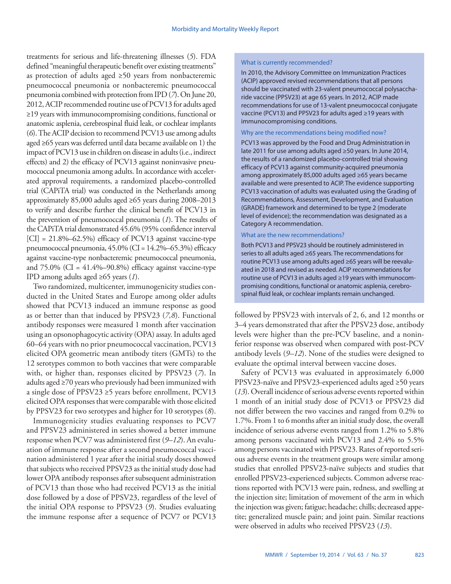treatments for serious and life-threatening illnesses (*5*). FDA defined "meaningful therapeutic benefit over existing treatments" as protection of adults aged  $\geq 50$  years from nonbacteremic pneumococcal pneumonia or nonbacteremic pneumococcal pneumonia combined with protection from IPD (*7*). On June 20, 2012, ACIP recommended routine use of PCV13 for adults aged ≥19 years with immunocompromising conditions, functional or anatomic asplenia, cerebrospinal fluid leak, or cochlear implants (*6*). The ACIP decision to recommend PCV13 use among adults aged ≥65 years was deferred until data became available on 1) the impact of PCV13 use in children on disease in adults (i.e., indirect effects) and 2) the efficacy of PCV13 against noninvasive pneumococcal pneumonia among adults. In accordance with accelerated approval requirements, a randomized placebo-controlled trial (CAPiTA trial) was conducted in the Netherlands among approximately 85,000 adults aged ≥65 years during 2008–2013 to verify and describe further the clinical benefit of PCV13 in the prevention of pneumococcal pneumonia (*1*). The results of the CAPiTA trial demonstrated 45.6% (95% confidence interval  $[CI] = 21.8\% - 62.5\%$  efficacy of PCV13 against vaccine-type pneumococcal pneumonia, 45.0% (CI = 14.2%–65.3%) efficacy against vaccine-type nonbacteremic pneumococcal pneumonia, and  $75.0\%$  (CI =  $41.4\%$ -90.8%) efficacy against vaccine-type IPD among adults aged ≥65 years (*1*).

Two randomized, multicenter, immunogenicity studies conducted in the United States and Europe among older adults showed that PCV13 induced an immune response as good as or better than that induced by PPSV23 (*7,8*). Functional antibody responses were measured 1 month after vaccination using an opsonophagocytic activity (OPA) assay. In adults aged 60–64 years with no prior pneumococcal vaccination, PCV13 elicited OPA geometric mean antibody titers (GMTs) to the 12 serotypes common to both vaccines that were comparable with, or higher than, responses elicited by PPSV23 (*7*). In adults aged ≥70 years who previously had been immunized with a single dose of PPSV23 ≥5 years before enrollment, PCV13 elicited OPA responses that were comparable with those elicited by PPSV23 for two serotypes and higher for 10 serotypes (*8*).

Immunogenicity studies evaluating responses to PCV7 and PPSV23 administered in series showed a better immune response when PCV7 was administered first (*9–12*). An evaluation of immune response after a second pneumococcal vaccination administered 1 year after the initial study doses showed that subjects who received PPSV23 as the initial study dose had lower OPA antibody responses after subsequent administration of PCV13 than those who had received PCV13 as the initial dose followed by a dose of PPSV23, regardless of the level of the initial OPA response to PPSV23 (*9*). Studies evaluating the immune response after a sequence of PCV7 or PCV13

#### What is currently recommended?

In 2010, the Advisory Committee on Immunization Practices (ACIP) approved revised recommendations that all persons should be vaccinated with 23-valent pneumococcal polysaccharide vaccine (PPSV23) at age 65 years. In 2012, ACIP made recommendations for use of 13-valent pneumococcal conjugate vaccine (PCV13) and PPSV23 for adults aged ≥19 years with immunocompromising conditions.

#### Why are the recommendations being modified now?

PCV13 was approved by the Food and Drug Administration in late 2011 for use among adults aged ≥50 years. In June 2014, the results of a randomized placebo-controlled trial showing efficacy of PCV13 against community-acquired pneumonia among approximately 85,000 adults aged ≥65 years became available and were presented to ACIP. The evidence supporting PCV13 vaccination of adults was evaluated using the Grading of Recommendations, Assessment, Development, and Evaluation (GRADE) framework and determined to be type 2 (moderate level of evidence); the recommendation was designated as a Category A recommendation.

#### What are the new recommendations?

Both PCV13 and PPSV23 should be routinely administered in series to all adults aged ≥65 years. The recommendations for routine PCV13 use among adults aged ≥65 years will be reevaluated in 2018 and revised as needed. ACIP recommendations for routine use of PCV13 in adults aged ≥19 years with immunocompromising conditions, functional or anatomic asplenia, cerebrospinal fluid leak, or cochlear implants remain unchanged.

followed by PPSV23 with intervals of 2, 6, and 12 months or 3–4 years demonstrated that after the PPSV23 dose, antibody levels were higher than the pre-PCV baseline, and a noninferior response was observed when compared with post-PCV antibody levels (*9–12*). None of the studies were designed to evaluate the optimal interval between vaccine doses.

Safety of PCV13 was evaluated in approximately 6,000 PPSV23-naïve and PPSV23-experienced adults aged ≥50 years (*13*). Overall incidence of serious adverse events reported within 1 month of an initial study dose of PCV13 or PPSV23 did not differ between the two vaccines and ranged from 0.2% to 1.7%. From 1 to 6 months after an initial study dose, the overall incidence of serious adverse events ranged from 1.2% to 5.8% among persons vaccinated with PCV13 and 2.4% to 5.5% among persons vaccinated with PPSV23. Rates of reported serious adverse events in the treatment groups were similar among studies that enrolled PPSV23-naïve subjects and studies that enrolled PPSV23-experienced subjects. Common adverse reactions reported with PCV13 were pain, redness, and swelling at the injection site; limitation of movement of the arm in which the injection was given; fatigue; headache; chills; decreased appetite; generalized muscle pain; and joint pain. Similar reactions were observed in adults who received PPSV23 (*13*).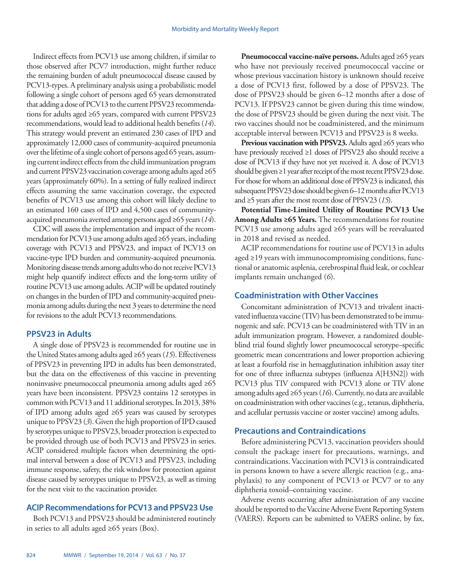Indirect effects from PCV13 use among children, if similar to those observed after PCV7 introduction, might further reduce the remaining burden of adult pneumococcal disease caused by PCV13-types. A preliminary analysis using a probabilistic model following a single cohort of persons aged 65 years demonstrated that adding a dose of PCV13 to the current PPSV23 recommendations for adults aged ≥65 years, compared with current PPSV23 recommendations, would lead to additional health benefits (*14*). This strategy would prevent an estimated 230 cases of IPD and approximately 12,000 cases of community-acquired pneumonia over the lifetime of a single cohort of persons aged 65 years, assuming current indirect effects from the child immunization program and current PPSV23 vaccination coverage among adults aged ≥65 years (approximately 60%). In a setting of fully realized indirect effects assuming the same vaccination coverage, the expected benefits of PCV13 use among this cohort will likely decline to an estimated 160 cases of IPD and 4,500 cases of communityacquired pneumonia averted among persons aged ≥65 years (*14*).

CDC will assess the implementation and impact of the recommendation for PCV13 use among adults aged ≥65 years, including coverage with PCV13 and PPSV23, and impact of PCV13 on vaccine-type IPD burden and community-acquired pneumonia. Monitoring disease trends among adults who do not receive PCV13 might help quantify indirect effects and the long-term utility of routine PCV13 use among adults. ACIP will be updated routinely on changes in the burden of IPD and community-acquired pneumonia among adults during the next 3 years to determine the need for revisions to the adult PCV13 recommendations.

## **PPSV23 in Adults**

A single dose of PPSV23 is recommended for routine use in the United States among adults aged ≥65 years (*15*). Effectiveness of PPSV23 in preventing IPD in adults has been demonstrated, but the data on the effectiveness of this vaccine in preventing noninvasive pneumococcal pneumonia among adults aged ≥65 years have been inconsistent. PPSV23 contains 12 serotypes in common with PCV13 and 11 additional serotypes. In 2013, 38% of IPD among adults aged ≥65 years was caused by serotypes unique to PPSV23 (*3*). Given the high proportion of IPD caused by serotypes unique to PPSV23, broader protection is expected to be provided through use of both PCV13 and PPSV23 in series. ACIP considered multiple factors when determining the optimal interval between a dose of PCV13 and PPSV23, including immune response, safety, the risk window for protection against disease caused by serotypes unique to PPSV23, as well as timing for the next visit to the vaccination provider.

## **ACIP Recommendations for PCV13 and PPSV23 Use**

Both PCV13 and PPSV23 should be administered routinely in series to all adults aged ≥65 years (Box).

**Pneumococcal vaccine-naïve persons.** Adults aged ≥65 years who have not previously received pneumococcal vaccine or whose previous vaccination history is unknown should receive a dose of PCV13 first, followed by a dose of PPSV23. The dose of PPSV23 should be given 6–12 months after a dose of PCV13. If PPSV23 cannot be given during this time window, the dose of PPSV23 should be given during the next visit. The two vaccines should not be coadministered, and the minimum acceptable interval between PCV13 and PPSV23 is 8 weeks.

**Previous vaccination with PPSV23.** Adults aged ≥65 years who have previously received ≥1 doses of PPSV23 also should receive a dose of PCV13 if they have not yet received it. A dose of PCV13 should be given ≥1 year after receipt of the most recent PPSV23 dose. For those for whom an additional dose of PPSV23 is indicated, this subsequent PPSV23 dose should be given 6–12 months after PCV13 and ≥5 years after the most recent dose of PPSV23 (*15*).

**Potential Time-Limited Utility of Routine PCV13 Use Among Adults ≥65 Years.** The recommendations for routine PCV13 use among adults aged ≥65 years will be reevaluated in 2018 and revised as needed.

ACIP recommendations for routine use of PCV13 in adults aged ≥19 years with immunocompromising conditions, functional or anatomic asplenia, cerebrospinal fluid leak, or cochlear implants remain unchanged (*6*).

## **Coadministration with Other Vaccines**

Concomitant administration of PCV13 and trivalent inactivated influenza vaccine (TIV) has been demonstrated to be immunogenic and safe. PCV13 can be coadministered with TIV in an adult immunization program. However, a randomized doubleblind trial found slightly lower pneumococcal serotype–specific geometric mean concentrations and lower proportion achieving at least a fourfold rise in hemagglutination inhibition assay titer for one of three influenza subtypes (influenza A[H3N2]) with PCV13 plus TIV compared with PCV13 alone or TIV alone among adults aged ≥65 years (*16*). Currently, no data are available on coadministration with other vaccines (e.g., tetanus, diphtheria, and acellular pertussis vaccine or zoster vaccine) among adults.

## **Precautions and Contraindications**

Before administering PCV13, vaccination providers should consult the package insert for precautions, warnings, and contraindications. Vaccination with PCV13 is contraindicated in persons known to have a severe allergic reaction (e.g., anaphylaxis) to any component of PCV13 or PCV7 or to any diphtheria toxoid–containing vaccine.

Adverse events occurring after administration of any vaccine should be reported to the Vaccine Adverse Event Reporting System (VAERS). Reports can be submitted to VAERS online, by fax,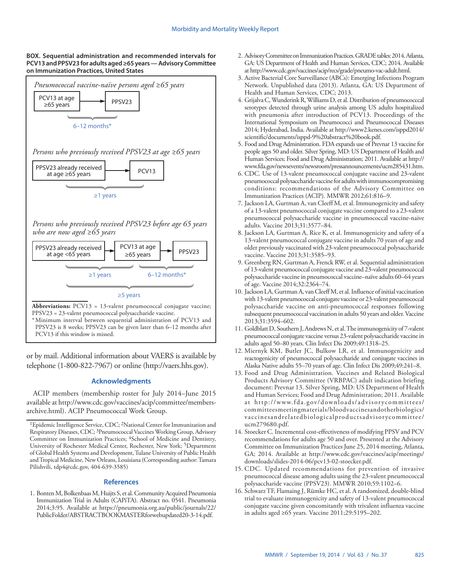#### **BOX. Sequential administration and recommended intervals for PCV13 and PPSV23 for adults aged ≥65 years — Advisory Committee on Immunization Practices, United States**



or by mail. Additional information about VAERS is available by telephone (1-800-822-7967) or online (<http://vaers.hhs.gov>).

#### **Acknowledgments**

ACIP members (membership roster for July 2014–June 2015 available at [http://www.cdc.gov/vaccines/acip/committee/members](http://www.cdc.gov/vaccines/acip/committee/members-archive.html)[archive.html](http://www.cdc.gov/vaccines/acip/committee/members-archive.html)). ACIP Pneumococcal Work Group.

#### **References**

1. Bonten M, Bolkenbaas M, Huijts S, et al. Community Acquired Pneumonia Immunization Trial in Adults (CAPiTA). Abstract no. 0541. Pneumonia 2014;3:95. Available at [https://pneumonia.org.au/public/journals/22/](https://pneumonia.org.au/public/journals/22/PublicFolder/ABSTRACTBOOKMASTERforwebupdated20-3-14.pdf) [PublicFolder/ABSTRACTBOOKMASTERforwebupdated20-3-14.pdf](https://pneumonia.org.au/public/journals/22/PublicFolder/ABSTRACTBOOKMASTERforwebupdated20-3-14.pdf).

- 2. Advisory Committee on Immunization Practices. GRADE tables: 2014. Atlanta, GA: US Department of Health and Human Services, CDC; 2014. Available at [http://www.cdc.gov/vaccines/acip/recs/grade/pneumo-vac-adult.html.](http://)
- 3. Active Bacterial Core Surveillance (ABCs): Emerging Infections Program Network. Unpublished data (2013). Atlanta, GA: US Department of Health and Human Services, CDC; 2013.
- 4. Grijalva C, Wunderink R, Williams D, et al. Distribution of pneumococccal serotypes detected through urine analysis among US adults hospitalized with pneumonia after introduction of PCV13. Proceedings of the International Symposium on Pneumococci and Pneumococcal Diseases 2014; Hyderabad, India. Available at [http://www2.kenes.com/isppd2014/](http://www2.kenes.com/isppd2014/scientific/documents/isppd-9%20abstract%20book.pdf) [scientific/documents/isppd-9%20abstract%20book.pdf.](http://www2.kenes.com/isppd2014/scientific/documents/isppd-9%20abstract%20book.pdf)
- 5. Food and Drug Administration. FDA expands use of Prevnar 13 vaccine for people ages 50 and older. Silver Spring, MD: US Department of Health and Human Services; Food and Drug Administration; 2011. Available at [http://](http://www.fda.gov/newsevents/newsroom/pressannouncements/ucm285431.htm) [www.fda.gov/newsevents/newsroom/pressannouncements/ucm285431.htm.](http://www.fda.gov/newsevents/newsroom/pressannouncements/ucm285431.htm)
- 6. CDC. Use of 13-valent pneumococcal conjugate vaccine and 23-valent pneumococcal polysaccharide vaccine for adults with immunocompromising conditions: recommendations of the Advisory Committee on Immunization Practices (ACIP). MMWR 2012;61:816–9.
- 7. Jackson LA, Gurtman A, van Cleeff M, et al. Immunogenicity and safety of a 13-valent pneumococcal conjugate vaccine compared to a 23-valent pneumococcal polysaccharide vaccine in pneumococcal vaccine-naive adults. Vaccine 2013;31:3577–84.
- 8. Jackson LA, Gurtman A, Rice K, et al. Immunogenicity and safety of a 13-valent pneumococcal conjugate vaccine in adults 70 years of age and older previously vaccinated with 23-valent pneumococcal polysaccharide vaccine. Vaccine 2013;31:3585–93.
- 9. Greenberg RN, Gurtman A, Frenck RW, et al. Sequential administration of 13-valent pneumococcal conjugate vaccine and 23-valent pneumococcal polysaccharide vaccine in pneumococcal vaccine–naïve adults 60–64 years of age. Vaccine 2014;32:2364–74.
- 10. Jackson LA, Gurtman A, van Cleeff M, et al. Influence of initial vaccination with 13-valent pneumococcal conjugate vaccine or 23-valent pneumococcal polysaccharide vaccine on anti-pneumococcal responses following subsequent pneumococcal vaccination in adults 50 years and older. Vaccine 2013;31:3594–602.
- 11. Goldblatt D, Southern J, Andrews N, et al. The immunogenicity of 7-valent pneumococcal conjugate vaccine versus 23-valent polysaccharide vaccine in adults aged 50–80 years. Clin Infect Dis 2009;49:1318–25.
- 12. Miernyk KM, Butler JC, Bulkow LR, et al. Immunogenicity and reactogenicity of pneumococcal polysaccharide and conjugate vaccines in Alaska Native adults 55–70 years of age. Clin Infect Dis 2009;49:241–8.
- 13. Food and Drug Administration. Vaccines and Related Biological Products Advisory Committee (VRBPAC) adult indication briefing document: Prevnar 13. Silver Spring, MD: US Department of Health and Human Services; Food and Drug Administration; 2011. Available at [http://www.fda.gov/downloads/advisorycommittees/](http://www.fda.gov/downloads/advisorycommittees/committeesmeetingmaterials/bloodvaccinesandotherbiologics/vaccinesandrelatedbiologicalproductsadvisorycommittee/ucm279680.pdf) [committeesmeetingmaterials/bloodvaccinesandotherbiologics/](http://www.fda.gov/downloads/advisorycommittees/committeesmeetingmaterials/bloodvaccinesandotherbiologics/vaccinesandrelatedbiologicalproductsadvisorycommittee/ucm279680.pdf) [vaccinesandrelatedbiologicalproductsadvisorycommittee/](http://www.fda.gov/downloads/advisorycommittees/committeesmeetingmaterials/bloodvaccinesandotherbiologics/vaccinesandrelatedbiologicalproductsadvisorycommittee/ucm279680.pdf) [ucm279680.pdf](http://www.fda.gov/downloads/advisorycommittees/committeesmeetingmaterials/bloodvaccinesandotherbiologics/vaccinesandrelatedbiologicalproductsadvisorycommittee/ucm279680.pdf).
- 14. Stoecker C. Incremental cost-effectiveness of modifying PPSV and PCV recommendations for adults age 50 and over. Presented at the Advisory Committee on Immunization Practices June 25, 2014 meeting, Atlanta, GA; 2014. Available at [http://www.cdc.gov/vaccines/acip/meetings/](http://www.cdc.gov/vaccines/acip/meetings/downloads/slides-2014-06/pcv13-02-stoecker.pdf) [downloads/slides-2014-06/pcv13-02-stoecker.pdf.](http://www.cdc.gov/vaccines/acip/meetings/downloads/slides-2014-06/pcv13-02-stoecker.pdf)
- 15. CDC. Updated recommendations for prevention of invasive pneumococcal disease among adults using the 23-valent pneumococcal polysaccharide vaccine (PPSV23). MMWR 2010;59:1102–6.
- 16. Schwarz TF, Flamaing J, Rümke HC, et al. A randomized, double-blind trial to evaluate immunogenicity and safety of 13-valent pneumococcal conjugate vaccine given concomitantly with trivalent influenza vaccine in adults aged ≥65 years. Vaccine 2011;29:5195–202.

<sup>1</sup>Epidemic Intelligence Service, CDC; 2National Center for Immunization and Respiratory Diseases, CDC; 3Pneumococcal Vaccines Working Group, Advisory Committee on Immunization Practices; <sup>4</sup>School of Medicine and Dentistry, University of Rochester Medical Center, Rochester, New York; 5Department of Global Health Systems and Development, Tulane University of Public Health and Tropical Medicine, New Orleans, Louisiana (Corresponding author: Tamara Pilishvili, [tdp4@cdc.gov](mailto:tdp4@cdc.gov), 404-639-3585)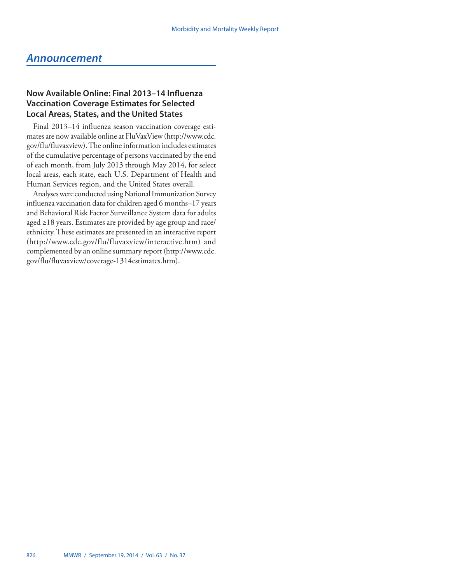## <span id="page-21-0"></span>*Announcement*

## **Now Available Online: Final 2013–14 Influenza Vaccination Coverage Estimates for Selected Local Areas, States, and the United States**

Final 2013–14 influenza season vaccination coverage estimates are now available online at FluVaxView [\(http://www.cdc.](http://www.cdc.gov/flu/fluvaxview) [gov/flu/fluvaxview\)](http://www.cdc.gov/flu/fluvaxview). The online information includes estimates of the cumulative percentage of persons vaccinated by the end of each month, from July 2013 through May 2014, for select local areas, each state, each U.S. Department of Health and Human Services region, and the United States overall.

Analyses were conducted using National Immunization Survey influenza vaccination data for children aged 6 months–17 years and Behavioral Risk Factor Surveillance System data for adults aged ≥18 years. Estimates are provided by age group and race/ ethnicity. These estimates are presented in an interactive report ([http://www.cdc.gov/flu/fluvaxview/interactive.htm\)](http://www.cdc.gov/flu/fluvaxview/interactive.htm) and complemented by an online summary report [\(http://www.cdc.](http://www.cdc.gov/flu/fluvaxview/coverage-1314estimates.htm) [gov/flu/fluvaxview/coverage-1314estimates.htm](http://www.cdc.gov/flu/fluvaxview/coverage-1314estimates.htm)).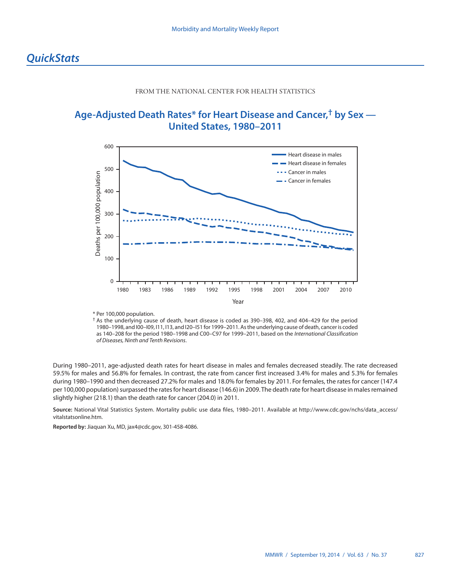#### FROM THE NATIONAL CENTER FOR HEALTH STATISTICS

## <span id="page-22-0"></span>**Age-Adjusted Death Rates\* for Heart Disease and Cancer,† by Sex — United States, 1980–2011**



<sup>\*</sup> Per 100,000 population.

† As the underlying cause of death, heart disease is coded as 390–398, 402, and 404–429 for the period 1980–1998, and I00–I09, I11, I13, and I20–I51 for 1999–2011. As the underlying cause of death, cancer is coded as 140–208 for the period 1980–1998 and C00–C97 for 1999–2011, based on the *International Classification of Diseases, Ninth and Tenth Revisions*.

During 1980–2011, age-adjusted death rates for heart disease in males and females decreased steadily. The rate decreased 59.5% for males and 56.8% for females. In contrast, the rate from cancer first increased 3.4% for males and 5.3% for females during 1980–1990 and then decreased 27.2% for males and 18.0% for females by 2011. For females, the rates for cancer (147.4 per 100,000 population) surpassed the rates for heart disease (146.6) in 2009. The death rate for heart disease in males remained slightly higher (218.1) than the death rate for cancer (204.0) in 2011.

**Source:** National Vital Statistics System. Mortality public use data files, 1980–2011. Available at [http://www.cdc.gov/nchs/data\\_access/](http://www.cdc.gov/nchs/data_access/vitalstatsonline.htm) [vitalstatsonline.htm.](http://www.cdc.gov/nchs/data_access/vitalstatsonline.htm)

**Reported by:** Jiaquan Xu, MD, [jax4@cdc.gov](mailto:jax4@cdc.gov), 301-458-4086.